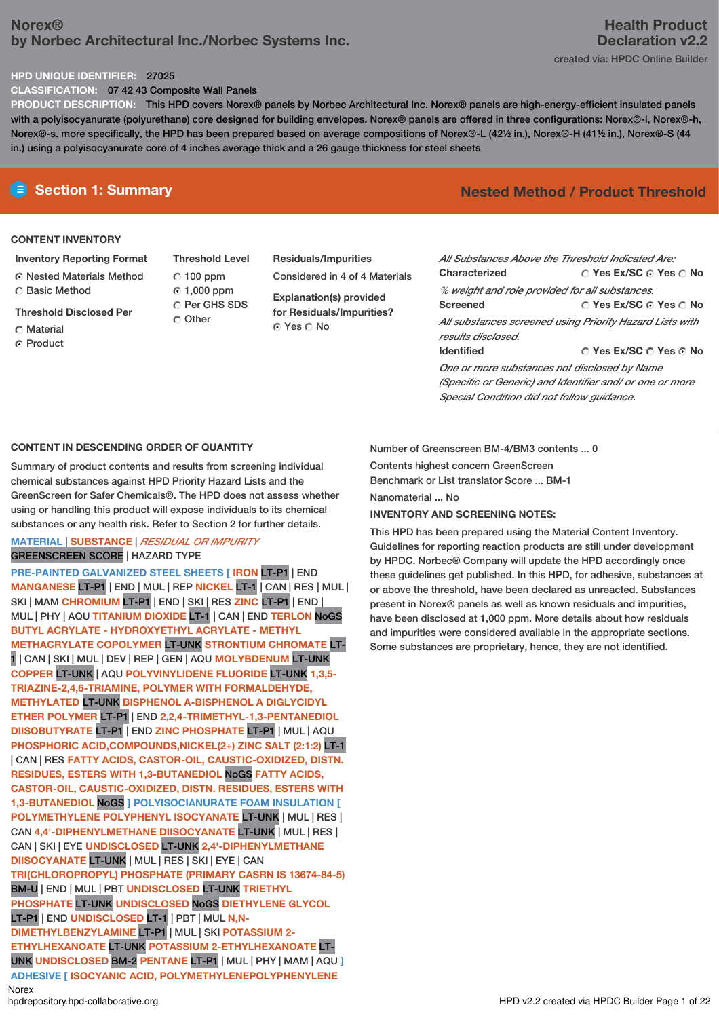# **Norex® by Norbec Architectural Inc./Norbec Systems Inc.**

#### **HPD UNIQUE IDENTIFIER:** 27025

**CLASSIFICATION:** 07 42 43 Composite Wall Panels

**PRODUCT DESCRIPTION:** This HPD covers Norex® panels by Norbec Architectural Inc. Norex® panels are high-energy-efficient insulated panels with a polyisocyanurate (polyurethane) core designed for building envelopes. Norex® panels are offered in three configurations: Norex®-l, Norex®-h, Norex®-s. more specifically, the HPD has been prepared based on average compositions of Norex®-L (42½ in.), Norex®-H (41½ in.), Norex®-S (44 in.) using a polyisocyanurate core of 4 inches average thick and a 26 gauge thickness for steel sheets

#### **CONTENT INVENTORY**

- **Inventory Reporting Format** Nested Materials Method Basic Method
- **Threshold Disclosed Per**
- C Material
- C Product
- **Threshold Level**  $C$  100 ppm 1,000 ppm C Per GHS SDS C Other
- **Residuals/Impurities** Considered in 4 of 4 Materials **Explanation(s) provided for Residuals/Impurities?**
- © Yes ∩ No

## **E** Section 1: Summary **Nested** Method **/** Product Threshold

**Yes Ex/SC Yes No Yes Ex/SC Yes No Yes Ex/SC Yes No** *All Substances Above the Threshold Indicated Are:* **Characterized** *% weight and role provided for all substances.* **Screened** *All substances screened using Priority Hazard Lists with results disclosed.* **Identified** *One or more substances not disclosed by Name (Specific or Generic) and Identifier and/ or one or more*

#### **CONTENT IN DESCENDING ORDER OF QUANTITY**

Summary of product contents and results from screening individual chemical substances against HPD Priority Hazard Lists and the GreenScreen for Safer Chemicals®. The HPD does not assess whether using or handling this product will expose individuals to its chemical substances or any health risk. Refer to Section 2 for further details.

#### **MATERIAL** | **SUBSTANCE** | *RESIDUAL OR IMPURITY* GREENSCREEN SCORE | HAZARD TYPE

**PRE-PAINTED GALVANIZED STEEL SHEETS [ IRON** LT-P1 | END **MANGANESE** LT-P1 | END | MUL | REP **NICKEL** LT-1 | CAN | RES | MUL | SKI | MAM **CHROMIUM** LT-P1 | END | SKI | RES **ZINC** LT-P1 | END | MUL | PHY | AQU **TITANIUM DIOXIDE** LT-1 | CAN | END **TERLON** NoGS **BUTYL ACRYLATE - HYDROXYETHYL ACRYLATE - METHYL METHACRYLATE COPOLYMER** LT-UNK **STRONTIUM CHROMATE** LT-1 | CAN | SKI | MUL | DEV | REP | GEN | AQU **MOLYBDENUM** LT-UNK **COPPER** LT-UNK | AQU **POLYVINYLIDENE FLUORIDE** LT-UNK **1,3,5- TRIAZINE-2,4,6-TRIAMINE, POLYMER WITH FORMALDEHYDE, METHYLATED** LT-UNK **BISPHENOL A-BISPHENOL A DIGLYCIDYL ETHER POLYMER** LT-P1 | END **2,2,4-TRIMETHYL-1,3-PENTANEDIOL DIISOBUTYRATE** LT-P1 | END **ZINC PHOSPHATE** LT-P1 | MUL | AQU **PHOSPHORIC ACID,COMPOUNDS,NICKEL(2+) ZINC SALT (2:1:2)** LT-1 | CAN | RES **FATTY ACIDS, CASTOR-OIL, CAUSTIC-OXIDIZED, DISTN. RESIDUES, ESTERS WITH 1,3-BUTANEDIOL** NoGS **FATTY ACIDS, CASTOR-OIL, CAUSTIC-OXIDIZED, DISTN. RESIDUES, ESTERS WITH 1,3-BUTANEDIOL** NoGS **] POLYISOCIANURATE FOAM INSULATION [ POLYMETHYLENE POLYPHENYL ISOCYANATE** LT-UNK | MUL | RES | CAN **4,4'-DIPHENYLMETHANE DIISOCYANATE** LT-UNK | MUL | RES | CAN | SKI | EYE **UNDISCLOSED** LT-UNK **2,4'-DIPHENYLMETHANE DIISOCYANATE** LT-UNK | MUL | RES | SKI | EYE | CAN **TRI(CHLOROPROPYL) PHOSPHATE (PRIMARY CASRN IS 13674-84-5)** BM-U | END | MUL | PBT **UNDISCLOSED** LT-UNK **TRIETHYL PHOSPHATE** LT-UNK **UNDISCLOSED** NoGS **DIETHYLENE GLYCOL** LT-P1 | END **UNDISCLOSED** LT-1 | PBT | MUL **N,N-DIMETHYLBENZYLAMINE** LT-P1 | MUL | SKI **POTASSIUM 2- ETHYLHEXANOATE** LT-UNK **POTASSIUM 2-ETHYLHEXANOATE** LT-UNK **UNDISCLOSED** BM-2 **PENTANE** LT-P1 | MUL | PHY | MAM | AQU **] ADHESIVE [ ISOCYANIC ACID, POLYMETHYLENEPOLYPHENYLENE** Norex<br>hodrepository.hpd-collaborative.org

Number of Greenscreen BM-4/BM3 contents ... 0

Contents highest concern GreenScreen Benchmark or List translator Score ... BM-1

Nanomaterial ... No

#### **INVENTORY AND SCREENING NOTES:**

This HPD has been prepared using the Material Content Inventory. Guidelines for reporting reaction products are still under development by HPDC. Norbec® Company will update the HPD accordingly once these guidelines get published. In this HPD, for adhesive, substances at or above the threshold, have been declared as unreacted. Substances present in Norex® panels as well as known residuals and impurities, have been disclosed at 1,000 ppm. More details about how residuals and impurities were considered available in the appropriate sections. Some substances are proprietary, hence, they are not identified.

*Special Condition did not follow guidance.*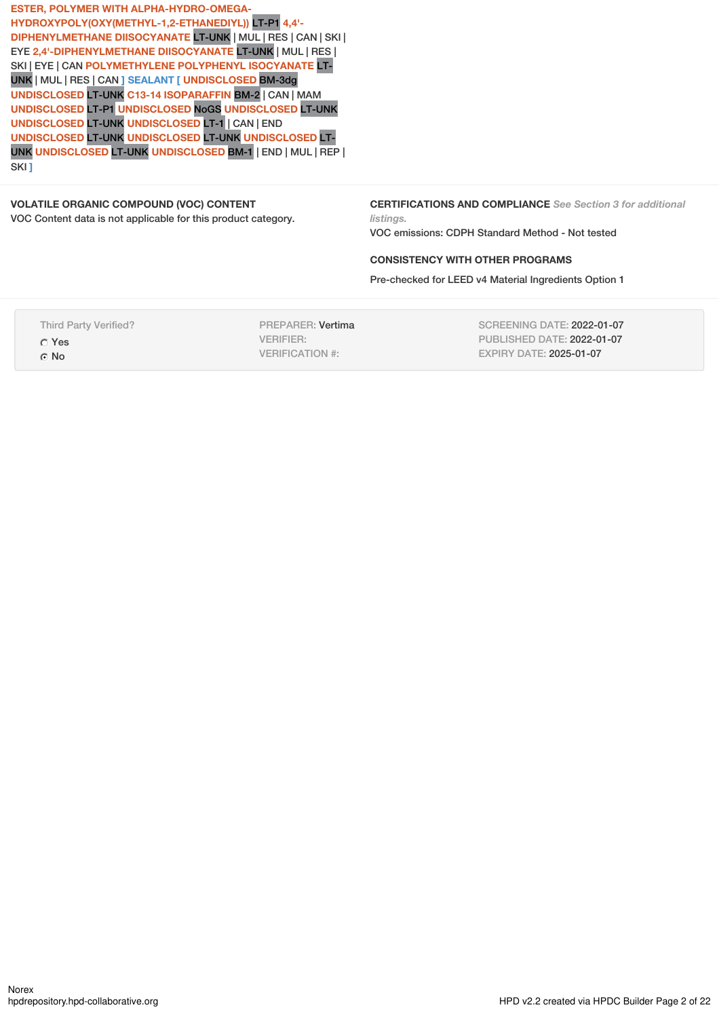**ESTER, POLYMER WITH ALPHA-HYDRO-OMEGA-HYDROXYPOLY(OXY(METHYL-1,2-ETHANEDIYL))** LT-P1 **4,4'- DIPHENYLMETHANE DIISOCYANATE** LT-UNK | MUL | RES | CAN | SKI | EYE **2,4'-DIPHENYLMETHANE DIISOCYANATE** LT-UNK | MUL | RES | SKI | EYE | CAN **POLYMETHYLENE POLYPHENYL ISOCYANATE** LT-UNK | MUL | RES | CAN **] SEALANT [ UNDISCLOSED** BM-3dg **UNDISCLOSED** LT-UNK **C13-14 ISOPARAFFIN** BM-2 | CAN | MAM **UNDISCLOSED** LT-P1 **UNDISCLOSED** NoGS **UNDISCLOSED** LT-UNK **UNDISCLOSED** LT-UNK **UNDISCLOSED** LT-1 | CAN | END **UNDISCLOSED** LT-UNK **UNDISCLOSED** LT-UNK **UNDISCLOSED** LT-UNK **UNDISCLOSED** LT-UNK **UNDISCLOSED** BM-1 | END | MUL | REP | SKI **]**

# **VOLATILE ORGANIC COMPOUND (VOC) CONTENT**

VOC Content data is not applicable for this product category.

**CERTIFICATIONS AND COMPLIANCE** *See Section 3 for additional listings.*

VOC emissions: CDPH Standard Method - Not tested

### **CONSISTENCY WITH OTHER PROGRAMS**

Pre-checked for LEED v4 Material Ingredients Option 1

Third Party Verified? Yes C<sub>No</sub>

PREPARER: Vertima VERIFIER: VERIFICATION #:

SCREENING DATE: 2022-01-07 PUBLISHED DATE: 2022-01-07 EXPIRY DATE: 2025-01-07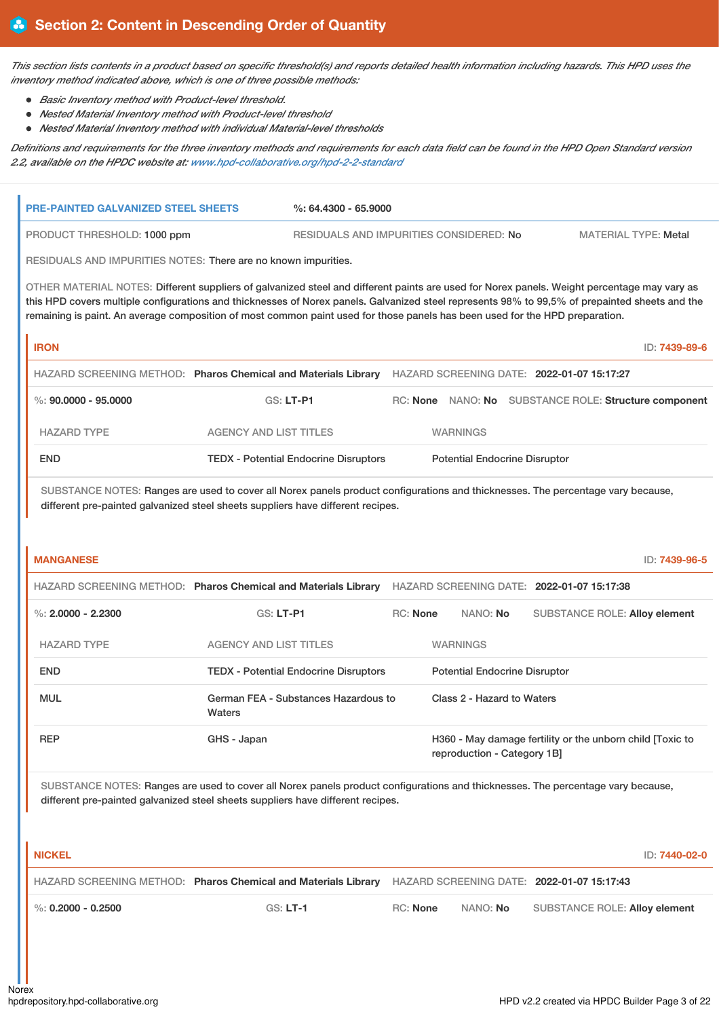This section lists contents in a product based on specific threshold(s) and reports detailed health information including hazards. This HPD uses the *inventory method indicated above, which is one of three possible methods:*

- *Basic Inventory method with Product-level threshold.*
- *Nested Material Inventory method with Product-level threshold*
- *Nested Material Inventory method with individual Material-level thresholds*

Definitions and requirements for the three inventory methods and requirements for each data field can be found in the HPD Open Standard version *2.2, available on the HPDC website at: [www.hpd-collaborative.org/hpd-2-2-standard](https://www.hpd-collaborative.org/hpd-2-2-standard)*

| <b>PRE-PAINTED GALVANIZED STEEL SHEETS</b>                                                                                   |                                                                                                           | $\%$ : 64.4300 - 65.9000                |                 |                                                                                                                                                                                                                                                                                               |  |  |  |
|------------------------------------------------------------------------------------------------------------------------------|-----------------------------------------------------------------------------------------------------------|-----------------------------------------|-----------------|-----------------------------------------------------------------------------------------------------------------------------------------------------------------------------------------------------------------------------------------------------------------------------------------------|--|--|--|
| PRODUCT THRESHOLD: 1000 ppm                                                                                                  |                                                                                                           | RESIDUALS AND IMPURITIES CONSIDERED: No |                 | <b>MATERIAL TYPE: Metal</b>                                                                                                                                                                                                                                                                   |  |  |  |
| RESIDUALS AND IMPURITIES NOTES: There are no known impurities.                                                               |                                                                                                           |                                         |                 |                                                                                                                                                                                                                                                                                               |  |  |  |
| remaining is paint. An average composition of most common paint used for those panels has been used for the HPD preparation. |                                                                                                           |                                         |                 | OTHER MATERIAL NOTES: Different suppliers of galvanized steel and different paints are used for Norex panels. Weight percentage may vary as<br>this HPD covers multiple configurations and thicknesses of Norex panels. Galvanized steel represents 98% to 99,5% of prepainted sheets and the |  |  |  |
| <b>IRON</b>                                                                                                                  |                                                                                                           |                                         |                 | ID: 7439-89-6                                                                                                                                                                                                                                                                                 |  |  |  |
|                                                                                                                              | HAZARD SCREENING METHOD: Pharos Chemical and Materials Library HAZARD SCREENING DATE: 2022-01-07 15:17:27 |                                         |                 |                                                                                                                                                                                                                                                                                               |  |  |  |
| %: $90,0000 - 95,0000$                                                                                                       | GS: LT-P1                                                                                                 |                                         |                 | RC: None NANO: No SUBSTANCE ROLE: Structure component                                                                                                                                                                                                                                         |  |  |  |
| <b>HAZARD TYPE</b>                                                                                                           | <b>AGENCY AND LIST TITLES</b>                                                                             |                                         | <b>WARNINGS</b> |                                                                                                                                                                                                                                                                                               |  |  |  |
| <b>END</b>                                                                                                                   | <b>TEDX</b> - Potential Endocrine Disruptors                                                              |                                         |                 | <b>Potential Endocrine Disruptor</b>                                                                                                                                                                                                                                                          |  |  |  |
| <b>MANGANESE</b>                                                                                                             | different pre-painted galvanized steel sheets suppliers have different recipes.                           |                                         |                 | SUBSTANCE NOTES: Ranges are used to cover all Norex panels product configurations and thicknesses. The percentage vary because,<br>ID: 7439-96-5                                                                                                                                              |  |  |  |
|                                                                                                                              | HAZARD SCREENING METHOD: Pharos Chemical and Materials Library HAZARD SCREENING DATE: 2022-01-07 15:17:38 |                                         |                 |                                                                                                                                                                                                                                                                                               |  |  |  |
| %: $2,0000 - 2,2300$                                                                                                         | GS: LT-P1                                                                                                 | <b>RC: None</b>                         | NANO: No        | <b>SUBSTANCE ROLE: Alloy element</b>                                                                                                                                                                                                                                                          |  |  |  |
| <b>HAZARD TYPE</b>                                                                                                           | <b>AGENCY AND LIST TITLES</b>                                                                             |                                         | <b>WARNINGS</b> |                                                                                                                                                                                                                                                                                               |  |  |  |
| <b>END</b>                                                                                                                   | <b>TEDX - Potential Endocrine Disruptors</b>                                                              |                                         |                 | <b>Potential Endocrine Disruptor</b>                                                                                                                                                                                                                                                          |  |  |  |
| <b>MUL</b>                                                                                                                   | German FEA - Substances Hazardous to<br>Waters                                                            |                                         |                 | Class 2 - Hazard to Waters                                                                                                                                                                                                                                                                    |  |  |  |
| <b>REP</b>                                                                                                                   | GHS - Japan                                                                                               |                                         |                 | H360 - May damage fertility or the unborn child [Toxic to<br>reproduction - Category 1B]                                                                                                                                                                                                      |  |  |  |
|                                                                                                                              | different pre-painted galvanized steel sheets suppliers have different recipes.                           |                                         |                 | SUBSTANCE NOTES: Ranges are used to cover all Norex panels product configurations and thicknesses. The percentage vary because,                                                                                                                                                               |  |  |  |

**NICKEL** ID: **7440-02-0** HAZARD SCREENING METHOD: **Pharos Chemical and Materials Library** HAZARD SCREENING DATE: **2022-01-07 15:17:43** %: **0.2000 - 0.2500** GS: **LT-1** RC: **None** NANO: **No** SUBSTANCE ROLE: **Alloy element**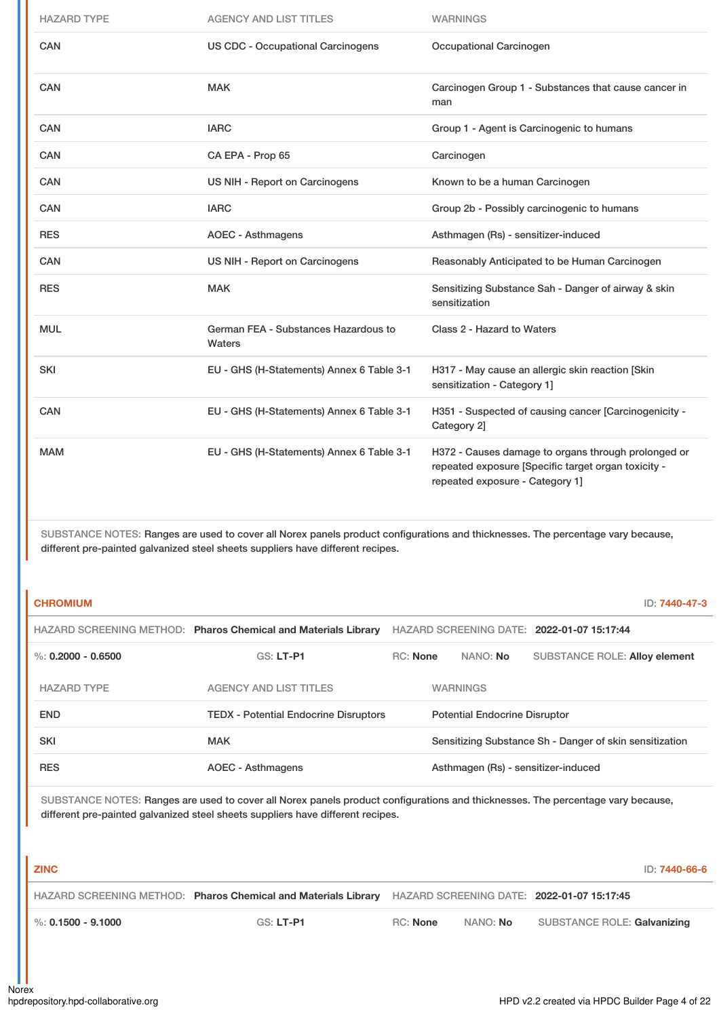| <b>HAZARD TYPE</b> | <b>AGENCY AND LIST TITLES</b>                  | <b>WARNINGS</b>                                                                                                                               |
|--------------------|------------------------------------------------|-----------------------------------------------------------------------------------------------------------------------------------------------|
| CAN                | <b>US CDC - Occupational Carcinogens</b>       | Occupational Carcinogen                                                                                                                       |
| <b>CAN</b>         | <b>MAK</b>                                     | Carcinogen Group 1 - Substances that cause cancer in<br>man                                                                                   |
| CAN                | <b>IARC</b>                                    | Group 1 - Agent is Carcinogenic to humans                                                                                                     |
| <b>CAN</b>         | CA EPA - Prop 65                               | Carcinogen                                                                                                                                    |
| <b>CAN</b>         | US NIH - Report on Carcinogens                 | Known to be a human Carcinogen                                                                                                                |
| <b>CAN</b>         | <b>IARC</b>                                    | Group 2b - Possibly carcinogenic to humans                                                                                                    |
| <b>RES</b>         | <b>AOEC - Asthmagens</b>                       | Asthmagen (Rs) - sensitizer-induced                                                                                                           |
| <b>CAN</b>         | US NIH - Report on Carcinogens                 | Reasonably Anticipated to be Human Carcinogen                                                                                                 |
| <b>RES</b>         | <b>MAK</b>                                     | Sensitizing Substance Sah - Danger of airway & skin<br>sensitization                                                                          |
| <b>MUL</b>         | German FEA - Substances Hazardous to<br>Waters | Class 2 - Hazard to Waters                                                                                                                    |
| <b>SKI</b>         | EU - GHS (H-Statements) Annex 6 Table 3-1      | H317 - May cause an allergic skin reaction [Skin<br>sensitization - Category 1]                                                               |
| CAN                | EU - GHS (H-Statements) Annex 6 Table 3-1      | H351 - Suspected of causing cancer [Carcinogenicity -<br>Category 2]                                                                          |
| <b>MAM</b>         | EU - GHS (H-Statements) Annex 6 Table 3-1      | H372 - Causes damage to organs through prolonged or<br>repeated exposure [Specific target organ toxicity -<br>repeated exposure - Category 1] |

| <b>CHROMIUM</b>        |                                                                |                 |                                      |                                                         | ID: 7440-47-3 |
|------------------------|----------------------------------------------------------------|-----------------|--------------------------------------|---------------------------------------------------------|---------------|
|                        | HAZARD SCREENING METHOD: Pharos Chemical and Materials Library |                 |                                      | HAZARD SCREENING DATE: 2022-01-07 15:17:44              |               |
| $\%$ : 0.2000 - 0.6500 | $GS: LT-PI$                                                    | <b>RC: None</b> | NANO: No                             | <b>SUBSTANCE ROLE: Alloy element</b>                    |               |
| <b>HAZARD TYPE</b>     | <b>AGENCY AND LIST TITLES</b>                                  |                 | <b>WARNINGS</b>                      |                                                         |               |
| <b>END</b>             | <b>TEDX - Potential Endocrine Disruptors</b>                   |                 | <b>Potential Endocrine Disruptor</b> |                                                         |               |
| <b>SKI</b>             | <b>MAK</b>                                                     |                 |                                      | Sensitizing Substance Sh - Danger of skin sensitization |               |
| <b>RES</b>             | <b>AOEC - Asthmagens</b>                                       |                 |                                      | Asthmagen (Rs) - sensitizer-induced                     |               |

| <b>ZINC</b>                       |                                                                |          |          | ID: <b>7440-66-6</b>                       |
|-----------------------------------|----------------------------------------------------------------|----------|----------|--------------------------------------------|
|                                   | HAZARD SCREENING METHOD: Pharos Chemical and Materials Library |          |          | HAZARD SCREENING DATE: 2022-01-07 15:17:45 |
| $\blacksquare$ %: 0.1500 - 9.1000 | GS: LT-P1                                                      | RC: None | NANO: No | SUBSTANCE ROLE: Galvanizing                |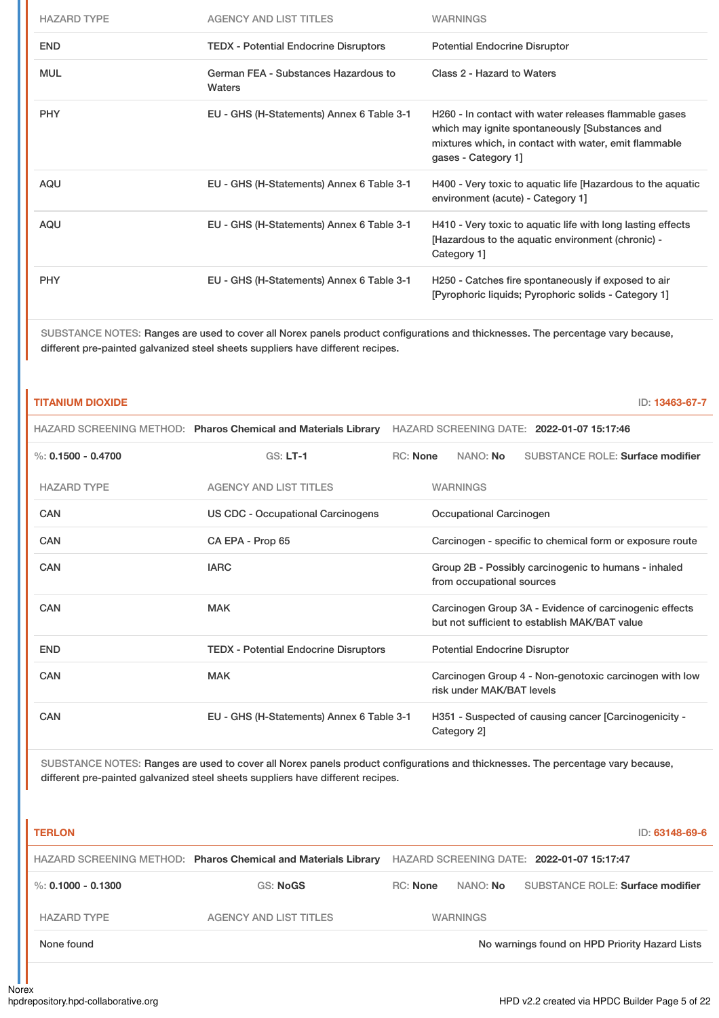| <b>HAZARD TYPE</b> | <b>AGENCY AND LIST TITLES</b>                  | <b>WARNINGS</b>                                                                                                                                                                         |
|--------------------|------------------------------------------------|-----------------------------------------------------------------------------------------------------------------------------------------------------------------------------------------|
| <b>END</b>         | <b>TEDX</b> - Potential Endocrine Disruptors   | <b>Potential Endocrine Disruptor</b>                                                                                                                                                    |
| <b>MUL</b>         | German FEA - Substances Hazardous to<br>Waters | Class 2 - Hazard to Waters                                                                                                                                                              |
| <b>PHY</b>         | EU - GHS (H-Statements) Annex 6 Table 3-1      | H260 - In contact with water releases flammable gases<br>which may ignite spontaneously [Substances and<br>mixtures which, in contact with water, emit flammable<br>gases - Category 1] |
| <b>AQU</b>         | EU - GHS (H-Statements) Annex 6 Table 3-1      | H400 - Very toxic to aquatic life [Hazardous to the aquatic<br>environment (acute) - Category 1]                                                                                        |
| <b>AQU</b>         | EU - GHS (H-Statements) Annex 6 Table 3-1      | H410 - Very toxic to aquatic life with long lasting effects<br>[Hazardous to the aquatic environment (chronic) -<br>Category 1                                                          |
| <b>PHY</b>         | EU - GHS (H-Statements) Annex 6 Table 3-1      | H250 - Catches fire spontaneously if exposed to air<br>[Pyrophoric liquids; Pyrophoric solids - Category 1]                                                                             |

### **TITANIUM DIOXIDE** ID: **13463-67-7**

|                      | HAZARD SCREENING METHOD: Pharos Chemical and Materials Library | HAZARD SCREENING DATE: 2022-01-07 15:17:46               |                                                                                                         |  |  |  |
|----------------------|----------------------------------------------------------------|----------------------------------------------------------|---------------------------------------------------------------------------------------------------------|--|--|--|
| %: $0.1500 - 0.4700$ | $GS: LT-1$                                                     | <b>RC:</b> None                                          | NANO: No<br>SUBSTANCE ROLE: Surface modifier                                                            |  |  |  |
| <b>HAZARD TYPE</b>   | <b>AGENCY AND LIST TITLES</b>                                  |                                                          | <b>WARNINGS</b>                                                                                         |  |  |  |
| CAN                  | <b>US CDC - Occupational Carcinogens</b>                       |                                                          | Occupational Carcinogen                                                                                 |  |  |  |
| <b>CAN</b>           | CA EPA - Prop 65                                               | Carcinogen - specific to chemical form or exposure route |                                                                                                         |  |  |  |
| <b>CAN</b>           | <b>IARC</b>                                                    |                                                          | Group 2B - Possibly carcinogenic to humans - inhaled<br>from occupational sources                       |  |  |  |
| CAN                  | <b>MAK</b>                                                     |                                                          | Carcinogen Group 3A - Evidence of carcinogenic effects<br>but not sufficient to establish MAK/BAT value |  |  |  |
| <b>END</b>           | <b>TEDX</b> - Potential Endocrine Disruptors                   |                                                          | <b>Potential Endocrine Disruptor</b>                                                                    |  |  |  |
| CAN                  | <b>MAK</b>                                                     |                                                          | Carcinogen Group 4 - Non-genotoxic carcinogen with low<br>risk under MAK/BAT levels                     |  |  |  |
| CAN                  | EU - GHS (H-Statements) Annex 6 Table 3-1                      |                                                          | H351 - Suspected of causing cancer [Carcinogenicity -<br>Category 2]                                    |  |  |  |

| <b>TERLON</b>      |                                                                |          |                 | ID: 63148-69-6                                 |
|--------------------|----------------------------------------------------------------|----------|-----------------|------------------------------------------------|
|                    | HAZARD SCREENING METHOD: Pharos Chemical and Materials Library |          |                 | HAZARD SCREENING DATE: 2022-01-07 15:17:47     |
| %: 0.1000 - 0.1300 | GS: NoGS                                                       | RC: None | NANO: No        | SUBSTANCE ROLE: Surface modifier               |
| <b>HAZARD TYPE</b> | <b>AGENCY AND LIST TITLES</b>                                  |          | <b>WARNINGS</b> |                                                |
| None found         |                                                                |          |                 | No warnings found on HPD Priority Hazard Lists |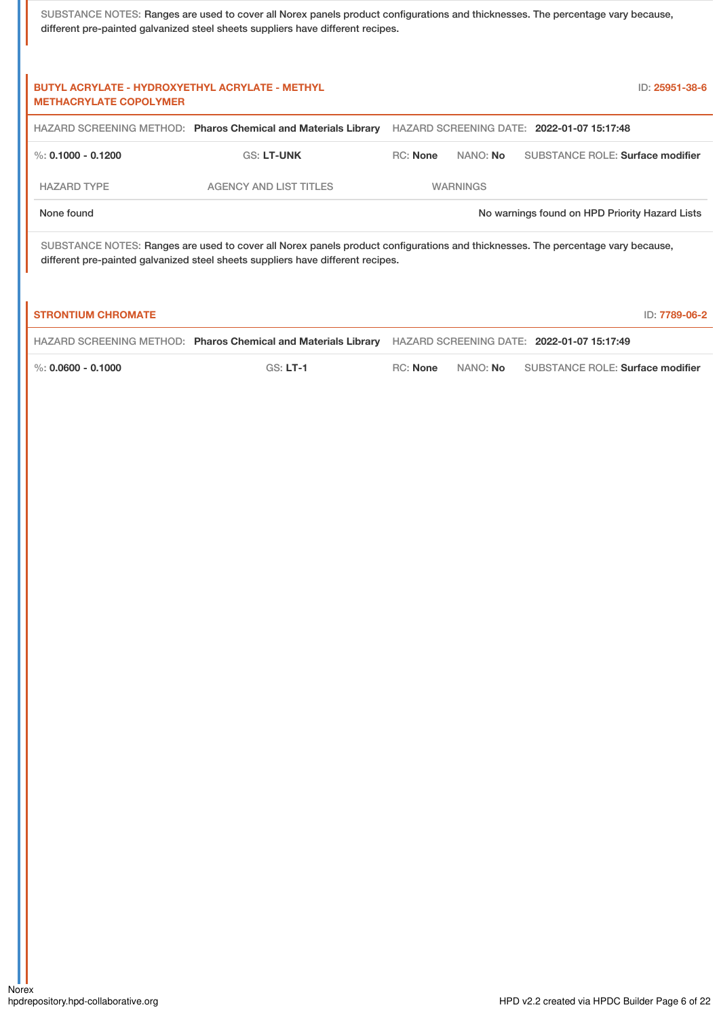| <b>BUTYL ACRYLATE - HYDROXYETHYL ACRYLATE - METHYL</b><br>ID: 25951-38-6<br><b>METHACRYLATE COPOLYMER</b>                                                                                                          |                                                                |                 |                 |                                                |
|--------------------------------------------------------------------------------------------------------------------------------------------------------------------------------------------------------------------|----------------------------------------------------------------|-----------------|-----------------|------------------------------------------------|
|                                                                                                                                                                                                                    | HAZARD SCREENING METHOD: Pharos Chemical and Materials Library |                 |                 | HAZARD SCREENING DATE: 2022-01-07 15:17:48     |
| %: 0.1000 - 0.1200                                                                                                                                                                                                 | <b>GS: LT-UNK</b>                                              | <b>RC:</b> None | NANO: <b>No</b> | <b>SUBSTANCE ROLE: Surface modifier</b>        |
| <b>HAZARD TYPE</b>                                                                                                                                                                                                 | <b>AGENCY AND LIST TITLES</b>                                  | <b>WARNINGS</b> |                 |                                                |
| None found                                                                                                                                                                                                         |                                                                |                 |                 | No warnings found on HPD Priority Hazard Lists |
| SUBSTANCE NOTES: Ranges are used to cover all Norex panels product configurations and thicknesses. The percentage vary because,<br>different pre-painted galvanized steel sheets suppliers have different recipes. |                                                                |                 |                 |                                                |
| <b>STRONTIUM CHROMATE</b>                                                                                                                                                                                          |                                                                |                 |                 | ID: 7789-06-2                                  |

|                        | HAZARD SCREENING METHOD: Pharos Chemical and Materials Library HAZARD SCREENING DATE: 2022-01-07 15:17:49 |          |                                           |
|------------------------|-----------------------------------------------------------------------------------------------------------|----------|-------------------------------------------|
| $\%$ : 0.0600 - 0.1000 | $GS: LT-1$                                                                                                | RC: None | NANO: No SUBSTANCE ROLE: Surface modifier |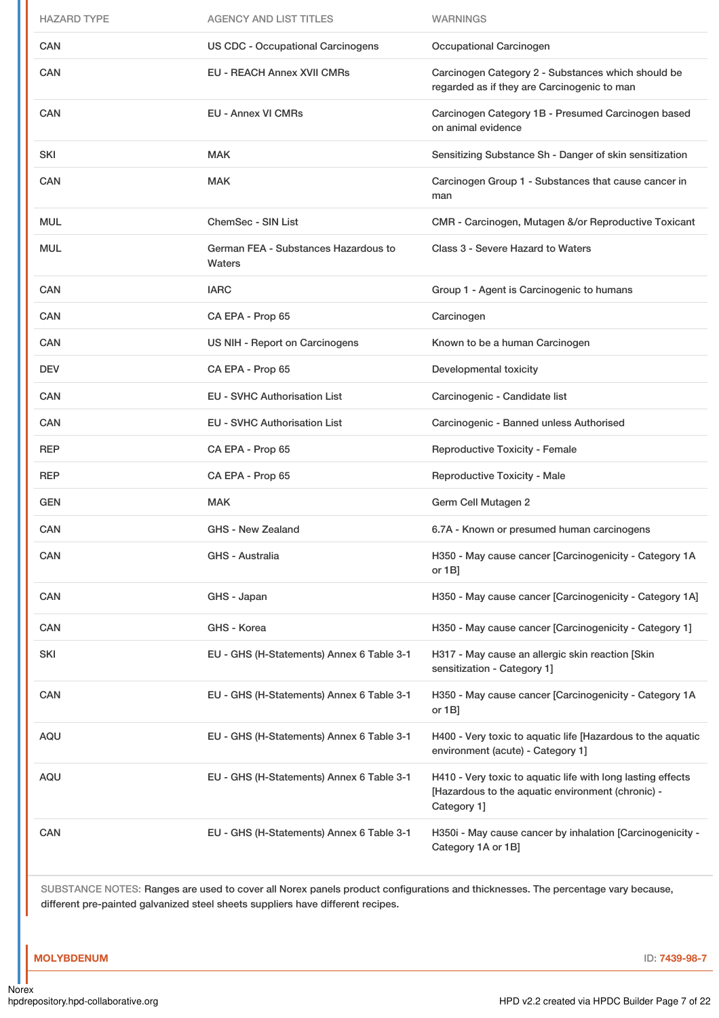| <b>HAZARD TYPE</b> | <b>AGENCY AND LIST TITLES</b>                  | <b>WARNINGS</b>                                                                                                                 |
|--------------------|------------------------------------------------|---------------------------------------------------------------------------------------------------------------------------------|
| CAN                | <b>US CDC - Occupational Carcinogens</b>       | Occupational Carcinogen                                                                                                         |
| CAN                | <b>EU - REACH Annex XVII CMRs</b>              | Carcinogen Category 2 - Substances which should be<br>regarded as if they are Carcinogenic to man                               |
| CAN                | <b>EU - Annex VI CMRs</b>                      | Carcinogen Category 1B - Presumed Carcinogen based<br>on animal evidence                                                        |
| <b>SKI</b>         | <b>MAK</b>                                     | Sensitizing Substance Sh - Danger of skin sensitization                                                                         |
| CAN                | <b>MAK</b>                                     | Carcinogen Group 1 - Substances that cause cancer in<br>man                                                                     |
| <b>MUL</b>         | <b>ChemSec - SIN List</b>                      | CMR - Carcinogen, Mutagen &/or Reproductive Toxicant                                                                            |
| <b>MUL</b>         | German FEA - Substances Hazardous to<br>Waters | Class 3 - Severe Hazard to Waters                                                                                               |
| <b>CAN</b>         | <b>IARC</b>                                    | Group 1 - Agent is Carcinogenic to humans                                                                                       |
| <b>CAN</b>         | CA EPA - Prop 65                               | Carcinogen                                                                                                                      |
| CAN                | US NIH - Report on Carcinogens                 | Known to be a human Carcinogen                                                                                                  |
| <b>DEV</b>         | CA EPA - Prop 65                               | Developmental toxicity                                                                                                          |
| <b>CAN</b>         | <b>EU - SVHC Authorisation List</b>            | Carcinogenic - Candidate list                                                                                                   |
| <b>CAN</b>         | <b>EU - SVHC Authorisation List</b>            | Carcinogenic - Banned unless Authorised                                                                                         |
|                    |                                                |                                                                                                                                 |
| <b>REP</b>         | CA EPA - Prop 65                               | <b>Reproductive Toxicity - Female</b>                                                                                           |
| <b>REP</b>         | CA EPA - Prop 65                               | Reproductive Toxicity - Male                                                                                                    |
| <b>GEN</b>         | <b>MAK</b>                                     | Germ Cell Mutagen 2                                                                                                             |
| CAN                | GHS - New Zealand                              | 6.7A - Known or presumed human carcinogens                                                                                      |
| CAN                | GHS - Australia                                | H350 - May cause cancer [Carcinogenicity - Category 1A<br>or $1B$ ]                                                             |
| CAN                | GHS - Japan                                    | H350 - May cause cancer [Carcinogenicity - Category 1A]                                                                         |
| CAN                | GHS - Korea                                    | H350 - May cause cancer [Carcinogenicity - Category 1]                                                                          |
| SKI                | EU - GHS (H-Statements) Annex 6 Table 3-1      | H317 - May cause an allergic skin reaction [Skin<br>sensitization - Category 1]                                                 |
| CAN                | EU - GHS (H-Statements) Annex 6 Table 3-1      | H350 - May cause cancer [Carcinogenicity - Category 1A<br>or $1B$ ]                                                             |
| AQU                | EU - GHS (H-Statements) Annex 6 Table 3-1      | H400 - Very toxic to aquatic life [Hazardous to the aquatic<br>environment (acute) - Category 1]                                |
| AQU                | EU - GHS (H-Statements) Annex 6 Table 3-1      | H410 - Very toxic to aquatic life with long lasting effects<br>[Hazardous to the aquatic environment (chronic) -<br>Category 1] |

### **MOLYBDENUM** ID: **7439-98-7**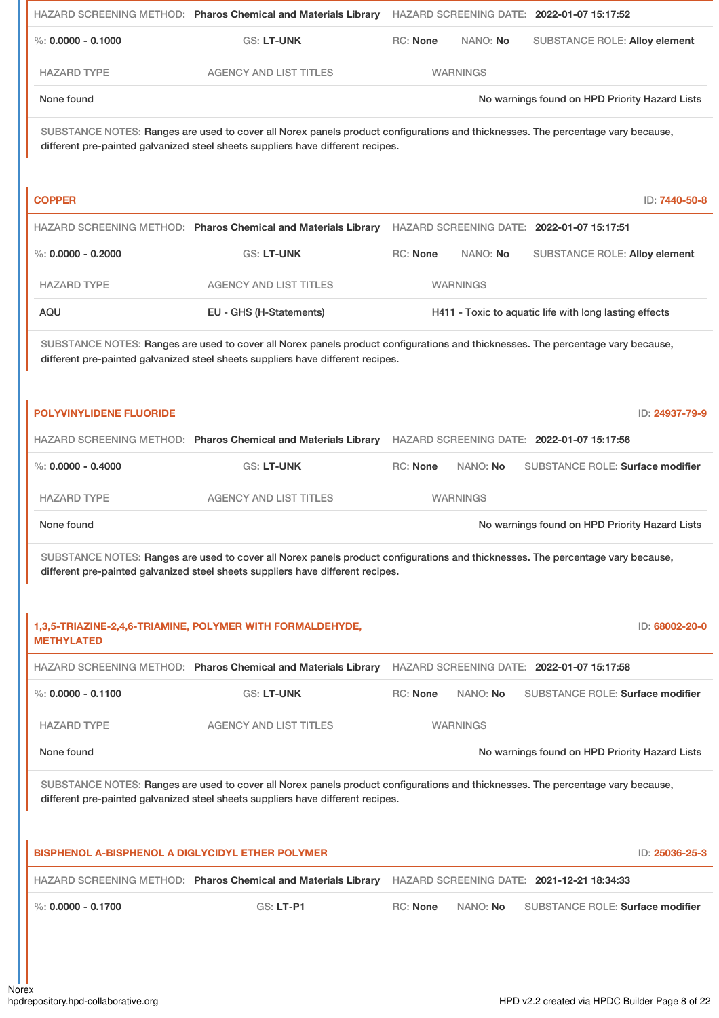|                                                         | HAZARD SCREENING METHOD: Pharos Chemical and Materials Library                                                                                                                                                                                                                  |                 |                 | HAZARD SCREENING DATE: 2022-01-07 15:17:52             |
|---------------------------------------------------------|---------------------------------------------------------------------------------------------------------------------------------------------------------------------------------------------------------------------------------------------------------------------------------|-----------------|-----------------|--------------------------------------------------------|
| $\%$ : 0.0000 - 0.1000                                  | <b>GS: LT-UNK</b>                                                                                                                                                                                                                                                               | RC: None        | NANO: No        | <b>SUBSTANCE ROLE: Alloy element</b>                   |
| <b>HAZARD TYPE</b>                                      | <b>AGENCY AND LIST TITLES</b>                                                                                                                                                                                                                                                   |                 | <b>WARNINGS</b> |                                                        |
| None found                                              |                                                                                                                                                                                                                                                                                 |                 |                 | No warnings found on HPD Priority Hazard Lists         |
|                                                         | SUBSTANCE NOTES: Ranges are used to cover all Norex panels product configurations and thicknesses. The percentage vary because,<br>different pre-painted galvanized steel sheets suppliers have different recipes.                                                              |                 |                 |                                                        |
| <b>COPPER</b>                                           |                                                                                                                                                                                                                                                                                 |                 |                 | ID: 7440-50-8                                          |
|                                                         | HAZARD SCREENING METHOD: Pharos Chemical and Materials Library                                                                                                                                                                                                                  |                 |                 | HAZARD SCREENING DATE: 2022-01-07 15:17:51             |
| $\%$ : 0.0000 - 0.2000                                  | <b>GS: LT-UNK</b>                                                                                                                                                                                                                                                               | <b>RC: None</b> | NANO: No        | <b>SUBSTANCE ROLE: Alloy element</b>                   |
| <b>HAZARD TYPE</b>                                      | <b>AGENCY AND LIST TITLES</b>                                                                                                                                                                                                                                                   |                 | <b>WARNINGS</b> |                                                        |
| AQU                                                     | EU - GHS (H-Statements)                                                                                                                                                                                                                                                         |                 |                 | H411 - Toxic to aquatic life with long lasting effects |
|                                                         | SUBSTANCE NOTES: Ranges are used to cover all Norex panels product configurations and thicknesses. The percentage vary because,<br>different pre-painted galvanized steel sheets suppliers have different recipes.                                                              |                 |                 |                                                        |
| <b>POLYVINYLIDENE FLUORIDE</b>                          |                                                                                                                                                                                                                                                                                 |                 |                 | ID: 24937-79-9                                         |
|                                                         | HAZARD SCREENING METHOD: Pharos Chemical and Materials Library HAZARD SCREENING DATE: 2022-01-07 15:17:56                                                                                                                                                                       |                 |                 |                                                        |
| $\%$ : 0.0000 - 0.4000                                  | GS: LT-UNK                                                                                                                                                                                                                                                                      | RC: None        | NANO: No        | <b>SUBSTANCE ROLE: Surface modifier</b>                |
| <b>HAZARD TYPE</b>                                      | <b>AGENCY AND LIST TITLES</b>                                                                                                                                                                                                                                                   |                 | <b>WARNINGS</b> |                                                        |
| None found                                              |                                                                                                                                                                                                                                                                                 |                 |                 | No warnings found on HPD Priority Hazard Lists         |
|                                                         | SUBSTANCE NOTES: Ranges are used to cover all Norex panels product configurations and thicknesses. The percentage vary because,<br>different pre-painted galvanized steel sheets suppliers have different recipes.<br>1,3,5-TRIAZINE-2,4,6-TRIAMINE, POLYMER WITH FORMALDEHYDE, |                 |                 | ID: 68002-20-0                                         |
| <b>METHYLATED</b>                                       |                                                                                                                                                                                                                                                                                 |                 |                 |                                                        |
|                                                         | HAZARD SCREENING METHOD: Pharos Chemical and Materials Library                                                                                                                                                                                                                  |                 |                 | HAZARD SCREENING DATE: 2022-01-07 15:17:58             |
| $\%$ : 0.0000 - 0.1100                                  | <b>GS: LT-UNK</b>                                                                                                                                                                                                                                                               | RC: None        | NANO: No        | SUBSTANCE ROLE: Surface modifier                       |
| <b>HAZARD TYPE</b>                                      | <b>AGENCY AND LIST TITLES</b>                                                                                                                                                                                                                                                   |                 | <b>WARNINGS</b> |                                                        |
| None found                                              |                                                                                                                                                                                                                                                                                 |                 |                 | No warnings found on HPD Priority Hazard Lists         |
|                                                         | SUBSTANCE NOTES: Ranges are used to cover all Norex panels product configurations and thicknesses. The percentage vary because,<br>different pre-painted galvanized steel sheets suppliers have different recipes.                                                              |                 |                 |                                                        |
| <b>BISPHENOL A-BISPHENOL A DIGLYCIDYL ETHER POLYMER</b> |                                                                                                                                                                                                                                                                                 |                 |                 | ID: 25036-25-3                                         |
|                                                         |                                                                                                                                                                                                                                                                                 |                 |                 |                                                        |
|                                                         | HAZARD SCREENING METHOD: Pharos Chemical and Materials Library HAZARD SCREENING DATE: 2021-12-21 18:34:33                                                                                                                                                                       |                 |                 |                                                        |
| $\%$ : 0.0000 - 0.1700                                  | GS: LT-P1                                                                                                                                                                                                                                                                       | <b>RC: None</b> | NANO: No        | <b>SUBSTANCE ROLE: Surface modifier</b>                |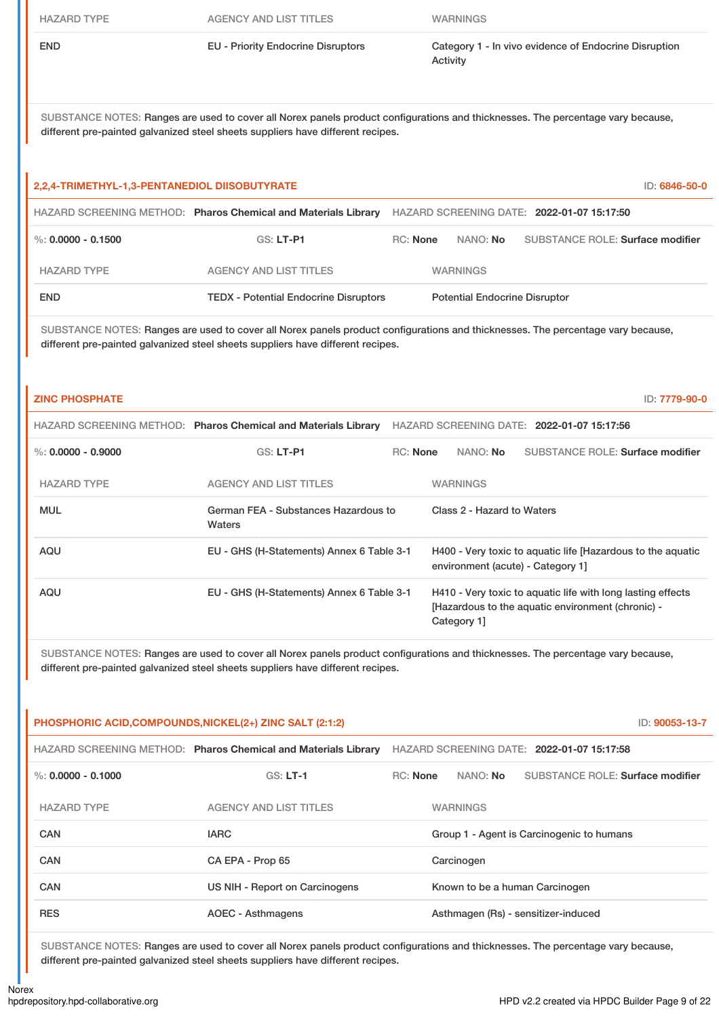HAZARD TYPE AGENCY AND LIST TITLES WARNINGS

END EU - Priority Endocrine Disruptors Category 1 - In vivo evidence of Endocrine Disruption Activity

SUBSTANCE NOTES: Ranges are used to cover all Norex panels product configurations and thicknesses. The percentage vary because, different pre-painted galvanized steel sheets suppliers have different recipes.

#### **2,2,4-TRIMETHYL-1,3-PENTANEDIOL DIISOBUTYRATE** ID: **6846-50-0**

|                        | HAZARD SCREENING METHOD: Pharos Chemical and Materials Library | HAZARD SCREENING DATE: 2022-01-07 15:17:50 |  |                                      |                                  |
|------------------------|----------------------------------------------------------------|--------------------------------------------|--|--------------------------------------|----------------------------------|
| $\%$ : 0.0000 - 0.1500 | $GS: LT- P1$                                                   | RC: None                                   |  | NANO: <b>No</b>                      | SUBSTANCE ROLE: Surface modifier |
| <b>HAZARD TYPE</b>     | <b>AGENCY AND LIST TITLES</b>                                  |                                            |  | <b>WARNINGS</b>                      |                                  |
| <b>END</b>             | <b>TEDX</b> - Potential Endocrine Disruptors                   |                                            |  | <b>Potential Endocrine Disruptor</b> |                                  |

SUBSTANCE NOTES: Ranges are used to cover all Norex panels product configurations and thicknesses. The percentage vary because, different pre-painted galvanized steel sheets suppliers have different recipes.

#### **ZINC PHOSPHATE** ID: **7779-90-0**

|                      | HAZARD SCREENING METHOD: Pharos Chemical and Materials Library | HAZARD SCREENING DATE: 2022-01-07 15:17:56 |                                                                                                  |                            |                                                                                                                  |  |  |
|----------------------|----------------------------------------------------------------|--------------------------------------------|--------------------------------------------------------------------------------------------------|----------------------------|------------------------------------------------------------------------------------------------------------------|--|--|
| %: $0.0000 - 0.9000$ | $GS: LT-PI$                                                    | $RC:$ None                                 |                                                                                                  | NANO: No                   | <b>SUBSTANCE ROLE: Surface modifier</b>                                                                          |  |  |
| <b>HAZARD TYPE</b>   | <b>AGENCY AND LIST TITLES</b>                                  |                                            | <b>WARNINGS</b>                                                                                  |                            |                                                                                                                  |  |  |
| <b>MUL</b>           | Waters                                                         | German FEA - Substances Hazardous to       |                                                                                                  | Class 2 - Hazard to Waters |                                                                                                                  |  |  |
| AQU                  | EU - GHS (H-Statements) Annex 6 Table 3-1                      |                                            | H400 - Very toxic to aquatic life [Hazardous to the aquatic<br>environment (acute) - Category 1] |                            |                                                                                                                  |  |  |
| AQU                  | EU - GHS (H-Statements) Annex 6 Table 3-1                      |                                            |                                                                                                  | Category 1]                | H410 - Very toxic to aquatic life with long lasting effects<br>[Hazardous to the aquatic environment (chronic) - |  |  |

SUBSTANCE NOTES: Ranges are used to cover all Norex panels product configurations and thicknesses. The percentage vary because, different pre-painted galvanized steel sheets suppliers have different recipes.

| PHOSPHORIC ACID,COMPOUNDS,NICKEL(2+) ZINC SALT (2:1:2) |                                                                | ID: 90053-13-7                             |                                         |
|--------------------------------------------------------|----------------------------------------------------------------|--------------------------------------------|-----------------------------------------|
|                                                        | HAZARD SCREENING METHOD: Pharos Chemical and Materials Library | HAZARD SCREENING DATE: 2022-01-07 15:17:58 |                                         |
| %: $0.0000 - 0.1000$                                   | $GS: LT-1$                                                     | NANO: <b>No</b><br><b>RC:</b> None         | <b>SUBSTANCE ROLE: Surface modifier</b> |
| <b>HAZARD TYPE</b>                                     | <b>AGENCY AND LIST TITLES</b>                                  | <b>WARNINGS</b>                            |                                         |
| <b>CAN</b>                                             | <b>IARC</b>                                                    | Group 1 - Agent is Carcinogenic to humans  |                                         |
| <b>CAN</b>                                             | CA EPA - Prop 65                                               | Carcinogen                                 |                                         |
| CAN                                                    | US NIH - Report on Carcinogens                                 | Known to be a human Carcinogen             |                                         |
| <b>RES</b>                                             | <b>AOEC - Asthmagens</b>                                       | Asthmagen (Rs) - sensitizer-induced        |                                         |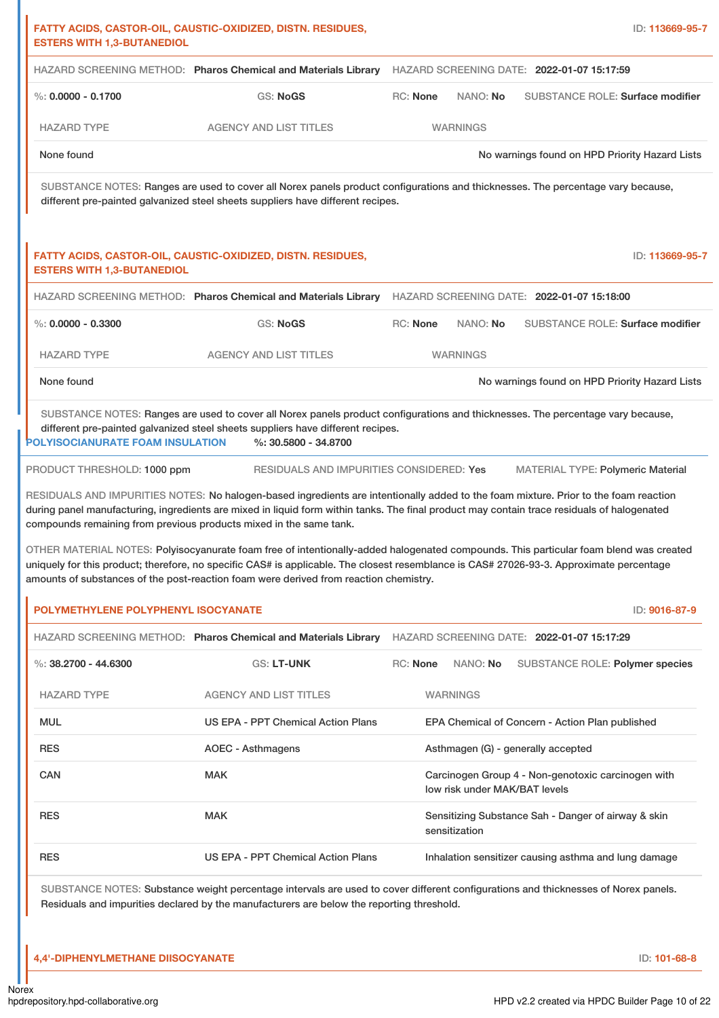|                                                                                        | HAZARD SCREENING METHOD: Pharos Chemical and Materials Library                                                                                                                                                                                                                                                                                                                                                                                   |                 |                               | HAZARD SCREENING DATE: 2022-01-07 15:17:59                            |
|----------------------------------------------------------------------------------------|--------------------------------------------------------------------------------------------------------------------------------------------------------------------------------------------------------------------------------------------------------------------------------------------------------------------------------------------------------------------------------------------------------------------------------------------------|-----------------|-------------------------------|-----------------------------------------------------------------------|
| $\%$ : 0.0000 - 0.1700                                                                 | GS: NoGS                                                                                                                                                                                                                                                                                                                                                                                                                                         | RC: None        | NANO: No                      | <b>SUBSTANCE ROLE: Surface modifier</b>                               |
| <b>HAZARD TYPE</b>                                                                     | <b>AGENCY AND LIST TITLES</b>                                                                                                                                                                                                                                                                                                                                                                                                                    |                 | <b>WARNINGS</b>               |                                                                       |
| None found                                                                             |                                                                                                                                                                                                                                                                                                                                                                                                                                                  |                 |                               | No warnings found on HPD Priority Hazard Lists                        |
|                                                                                        | SUBSTANCE NOTES: Ranges are used to cover all Norex panels product configurations and thicknesses. The percentage vary because,<br>different pre-painted galvanized steel sheets suppliers have different recipes.                                                                                                                                                                                                                               |                 |                               |                                                                       |
| <b>ESTERS WITH 1,3-BUTANEDIOL</b>                                                      | FATTY ACIDS, CASTOR-OIL, CAUSTIC-OXIDIZED, DISTN. RESIDUES,                                                                                                                                                                                                                                                                                                                                                                                      |                 |                               | ID: 113669-95-7                                                       |
|                                                                                        | HAZARD SCREENING METHOD: Pharos Chemical and Materials Library HAZARD SCREENING DATE: 2022-01-07 15:18:00                                                                                                                                                                                                                                                                                                                                        |                 |                               |                                                                       |
| $\%$ : 0.0000 - 0.3300                                                                 | GS: NoGS                                                                                                                                                                                                                                                                                                                                                                                                                                         | RC: None        | NANO: No                      | <b>SUBSTANCE ROLE: Surface modifier</b>                               |
| <b>HAZARD TYPE</b>                                                                     | <b>AGENCY AND LIST TITLES</b>                                                                                                                                                                                                                                                                                                                                                                                                                    |                 | <b>WARNINGS</b>               |                                                                       |
| None found                                                                             |                                                                                                                                                                                                                                                                                                                                                                                                                                                  |                 |                               | No warnings found on HPD Priority Hazard Lists                        |
| PRODUCT THRESHOLD: 1000 ppm                                                            | RESIDUALS AND IMPURITIES CONSIDERED: Yes                                                                                                                                                                                                                                                                                                                                                                                                         |                 |                               | <b>MATERIAL TYPE: Polymeric Material</b>                              |
|                                                                                        | RESIDUALS AND IMPURITIES NOTES: No halogen-based ingredients are intentionally added to the foam mixture. Prior to the foam reaction<br>during panel manufacturing, ingredients are mixed in liquid form within tanks. The final product may contain trace residuals of halogenated                                                                                                                                                              |                 |                               |                                                                       |
|                                                                                        | compounds remaining from previous products mixed in the same tank.<br>OTHER MATERIAL NOTES: Polyisocyanurate foam free of intentionally-added halogenated compounds. This particular foam blend was created<br>uniquely for this product; therefore, no specific CAS# is applicable. The closest resemblance is CAS# 27026-93-3. Approximate percentage<br>amounts of substances of the post-reaction foam were derived from reaction chemistry. |                 |                               |                                                                       |
| POLYMETHYLENE POLYPHENYL ISOCYANATE                                                    |                                                                                                                                                                                                                                                                                                                                                                                                                                                  |                 |                               | ID: 9016-87-9                                                         |
|                                                                                        | HAZARD SCREENING METHOD: Pharos Chemical and Materials Library                                                                                                                                                                                                                                                                                                                                                                                   |                 |                               | HAZARD SCREENING DATE: 2022-01-07 15:17:29                            |
|                                                                                        | <b>GS: LT-UNK</b>                                                                                                                                                                                                                                                                                                                                                                                                                                | <b>RC: None</b> | NANO: No                      |                                                                       |
|                                                                                        | <b>AGENCY AND LIST TITLES</b>                                                                                                                                                                                                                                                                                                                                                                                                                    |                 | <b>WARNINGS</b>               |                                                                       |
|                                                                                        | US EPA - PPT Chemical Action Plans                                                                                                                                                                                                                                                                                                                                                                                                               |                 |                               | EPA Chemical of Concern - Action Plan published                       |
|                                                                                        | <b>AOEC - Asthmagens</b>                                                                                                                                                                                                                                                                                                                                                                                                                         |                 |                               | SUBSTANCE ROLE: Polymer species<br>Asthmagen (G) - generally accepted |
| %: $38.2700 - 44.6300$<br><b>HAZARD TYPE</b><br><b>MUL</b><br><b>RES</b><br><b>CAN</b> | <b>MAK</b>                                                                                                                                                                                                                                                                                                                                                                                                                                       |                 | low risk under MAK/BAT levels | Carcinogen Group 4 - Non-genotoxic carcinogen with                    |
| <b>RES</b>                                                                             | <b>MAK</b>                                                                                                                                                                                                                                                                                                                                                                                                                                       |                 | sensitization                 | Sensitizing Substance Sah - Danger of airway & skin                   |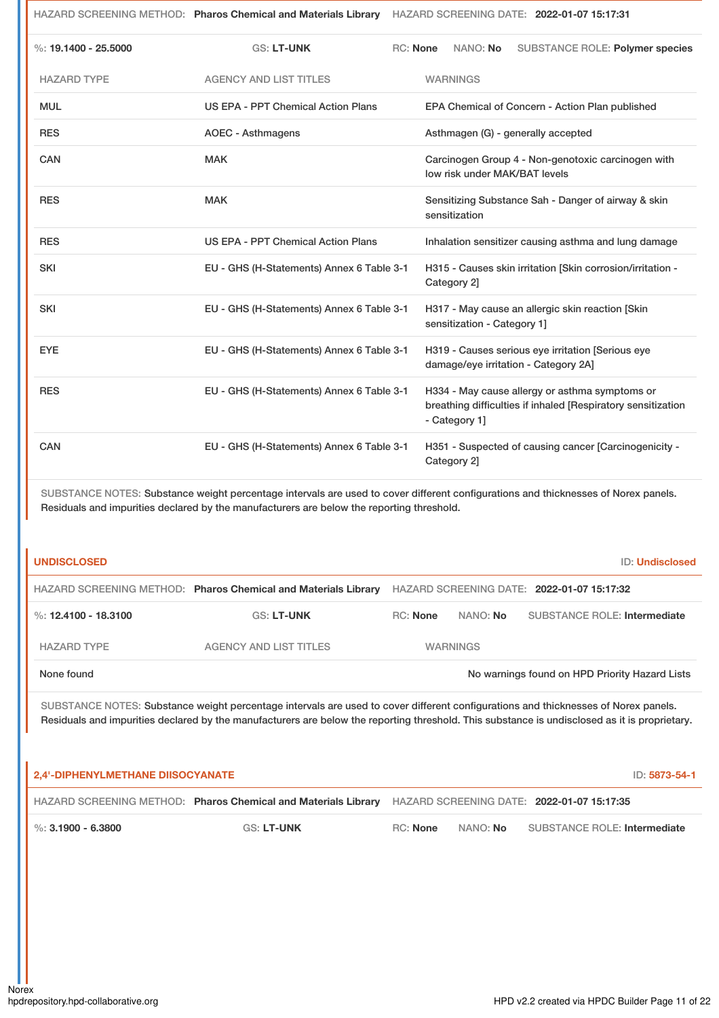|                        |                                                                                                                                                                                                                                 | HAZARD SCREENING METHOD: Pharos Chemical and Materials Library HAZARD SCREENING DATE: 2022-01-07 15:17:31 |                                                                                                                                 |                                                                                           |  |  |                                                            |
|------------------------|---------------------------------------------------------------------------------------------------------------------------------------------------------------------------------------------------------------------------------|-----------------------------------------------------------------------------------------------------------|---------------------------------------------------------------------------------------------------------------------------------|-------------------------------------------------------------------------------------------|--|--|------------------------------------------------------------|
| %: $19.1400 - 25.5000$ | <b>GS: LT-UNK</b>                                                                                                                                                                                                               | <b>RC: None</b>                                                                                           |                                                                                                                                 | NANO: No                                                                                  |  |  | SUBSTANCE ROLE: Polymer species                            |
| <b>HAZARD TYPE</b>     | <b>AGENCY AND LIST TITLES</b>                                                                                                                                                                                                   |                                                                                                           |                                                                                                                                 | <b>WARNINGS</b>                                                                           |  |  |                                                            |
| <b>MUL</b>             | <b>US EPA - PPT Chemical Action Plans</b>                                                                                                                                                                                       |                                                                                                           |                                                                                                                                 | EPA Chemical of Concern - Action Plan published                                           |  |  |                                                            |
| <b>RES</b>             | <b>AOEC - Asthmagens</b>                                                                                                                                                                                                        |                                                                                                           |                                                                                                                                 | Asthmagen (G) - generally accepted                                                        |  |  |                                                            |
| CAN                    | <b>MAK</b>                                                                                                                                                                                                                      |                                                                                                           | Carcinogen Group 4 - Non-genotoxic carcinogen with<br>low risk under MAK/BAT levels                                             |                                                                                           |  |  |                                                            |
| <b>RES</b>             | <b>MAK</b>                                                                                                                                                                                                                      |                                                                                                           | Sensitizing Substance Sah - Danger of airway & skin<br>sensitization                                                            |                                                                                           |  |  |                                                            |
| <b>RES</b>             | <b>US EPA - PPT Chemical Action Plans</b>                                                                                                                                                                                       |                                                                                                           |                                                                                                                                 |                                                                                           |  |  | Inhalation sensitizer causing asthma and lung damage       |
| SKI                    | EU - GHS (H-Statements) Annex 6 Table 3-1                                                                                                                                                                                       |                                                                                                           |                                                                                                                                 | Category 2]                                                                               |  |  | H315 - Causes skin irritation [Skin corrosion/irritation - |
| <b>SKI</b>             | EU - GHS (H-Statements) Annex 6 Table 3-1                                                                                                                                                                                       |                                                                                                           | H317 - May cause an allergic skin reaction [Skin<br>sensitization - Category 1]                                                 |                                                                                           |  |  |                                                            |
| <b>EYE</b>             | EU - GHS (H-Statements) Annex 6 Table 3-1                                                                                                                                                                                       |                                                                                                           |                                                                                                                                 | H319 - Causes serious eye irritation [Serious eye<br>damage/eye irritation - Category 2A] |  |  |                                                            |
| <b>RES</b>             | EU - GHS (H-Statements) Annex 6 Table 3-1                                                                                                                                                                                       |                                                                                                           | H334 - May cause allergy or asthma symptoms or<br>breathing difficulties if inhaled [Respiratory sensitization<br>- Category 1] |                                                                                           |  |  |                                                            |
| CAN                    | EU - GHS (H-Statements) Annex 6 Table 3-1                                                                                                                                                                                       |                                                                                                           |                                                                                                                                 | Category 2]                                                                               |  |  | H351 - Suspected of causing cancer [Carcinogenicity -      |
|                        | SUBSTANCE NOTES: Substance weight percentage intervals are used to cover different configurations and thicknesses of Norex panels.<br>Residuals and impurities declared by the manufacturers are below the reporting threshold. |                                                                                                           |                                                                                                                                 |                                                                                           |  |  |                                                            |
| <b>UNDISCLOSED</b>     |                                                                                                                                                                                                                                 |                                                                                                           |                                                                                                                                 |                                                                                           |  |  | <b>ID: Undisclosed</b>                                     |
|                        | HAZARD SCREENING METHOD: Pharos Chemical and Materials Library HAZARD SCREENING DATE: 2022-01-07 15:17:32                                                                                                                       |                                                                                                           |                                                                                                                                 |                                                                                           |  |  |                                                            |

| None found           |                        |                 |                 | No warnings found on HPD Priority Hazard Lists |
|----------------------|------------------------|-----------------|-----------------|------------------------------------------------|
| HAZARD TYPE          | AGENCY AND LIST TITLES |                 | <b>WARNINGS</b> |                                                |
| %: 12.4100 - 18.3100 | <b>GS: LT-UNK</b>      | <b>RC:</b> None | NANO: <b>No</b> | SUBSTANCE ROLE: Intermediate                   |

SUBSTANCE NOTES: Substance weight percentage intervals are used to cover different configurations and thicknesses of Norex panels. Residuals and impurities declared by the manufacturers are below the reporting threshold. This substance is undisclosed as it is proprietary.

| 2.4'-DIPHENYLMETHANE DIISOCYANATE |                                                                                                           |          |                 | ID: 5873-54-1                |
|-----------------------------------|-----------------------------------------------------------------------------------------------------------|----------|-----------------|------------------------------|
|                                   | HAZARD SCREENING METHOD: Pharos Chemical and Materials Library HAZARD SCREENING DATE: 2022-01-07 15:17:35 |          |                 |                              |
| $\blacksquare$ %: 3.1900 - 6.3800 | <b>GS: LT-UNK</b>                                                                                         | RC: None | NANO: <b>No</b> | SUBSTANCE ROLE: Intermediate |

ı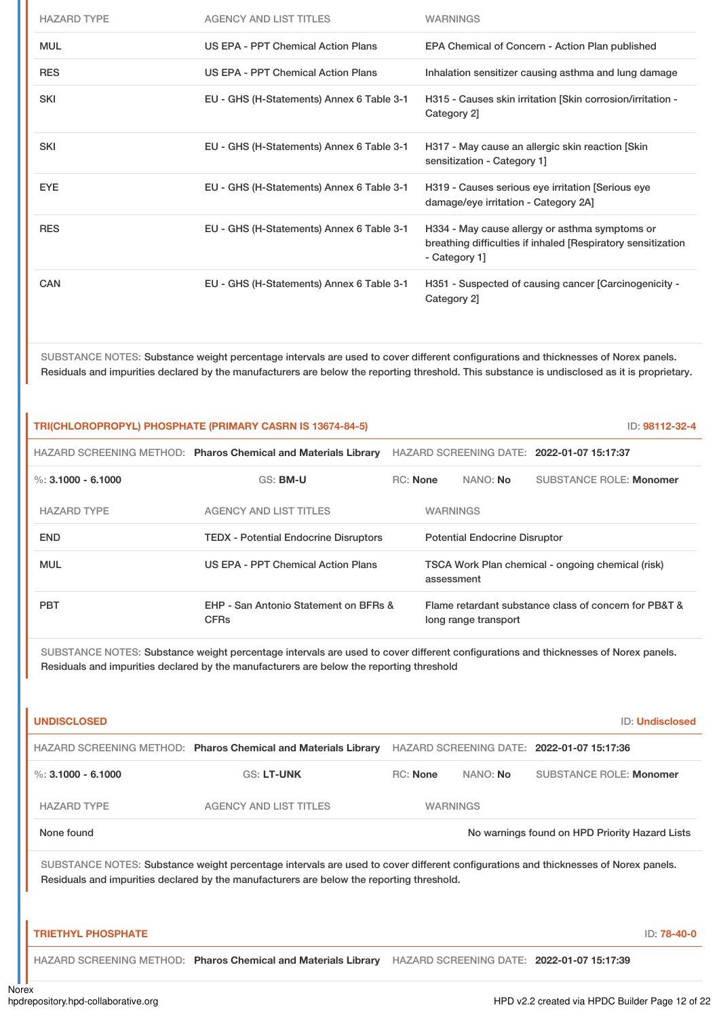| <b>HAZARD TYPE</b> | <b>AGENCY AND LIST TITLES</b>             | <b>WARNINGS</b>                                                                                                                 |
|--------------------|-------------------------------------------|---------------------------------------------------------------------------------------------------------------------------------|
| <b>MUL</b>         | US EPA - PPT Chemical Action Plans        | EPA Chemical of Concern - Action Plan published                                                                                 |
| <b>RES</b>         | US EPA - PPT Chemical Action Plans        | Inhalation sensitizer causing asthma and lung damage                                                                            |
| <b>SKI</b>         | EU - GHS (H-Statements) Annex 6 Table 3-1 | H315 - Causes skin irritation [Skin corrosion/irritation -<br>Category 2]                                                       |
| <b>SKI</b>         | EU - GHS (H-Statements) Annex 6 Table 3-1 | H317 - May cause an allergic skin reaction [Skin]<br>sensitization - Category 1]                                                |
| <b>EYE</b>         | EU - GHS (H-Statements) Annex 6 Table 3-1 | H319 - Causes serious eye irritation [Serious eye<br>damage/eye irritation - Category 2A]                                       |
| <b>RES</b>         | EU - GHS (H-Statements) Annex 6 Table 3-1 | H334 - May cause allergy or asthma symptoms or<br>breathing difficulties if inhaled [Respiratory sensitization<br>- Category 1] |
| CAN                | EU - GHS (H-Statements) Annex 6 Table 3-1 | H351 - Suspected of causing cancer [Carcinogenicity -<br>Category 2]                                                            |

SUBSTANCE NOTES: Substance weight percentage intervals are used to cover different configurations and thicknesses of Norex panels. Residuals and impurities declared by the manufacturers are below the reporting threshold. This substance is undisclosed as it is proprietary.

| TRI(CHLOROPROPYL) PHOSPHATE (PRIMARY CASRN IS 13674-84-5)<br>ID: 98112-32-4 |                                                                |                 |                 |                                                                 |                                                       |  |
|-----------------------------------------------------------------------------|----------------------------------------------------------------|-----------------|-----------------|-----------------------------------------------------------------|-------------------------------------------------------|--|
|                                                                             | HAZARD SCREENING METHOD: Pharos Chemical and Materials Library |                 |                 |                                                                 | HAZARD SCREENING DATE: 2022-01-07 15:17:37            |  |
| %: $3.1000 - 6.1000$                                                        | GS: BM-U                                                       | <b>RC:</b> None |                 | NANO: No                                                        | <b>SUBSTANCE ROLE: Monomer</b>                        |  |
| <b>HAZARD TYPE</b>                                                          | <b>AGENCY AND LIST TITLES</b>                                  |                 | <b>WARNINGS</b> |                                                                 |                                                       |  |
| <b>END</b>                                                                  | <b>TEDX - Potential Endocrine Disruptors</b>                   |                 |                 | <b>Potential Endocrine Disruptor</b>                            |                                                       |  |
| <b>MUL</b>                                                                  | US EPA - PPT Chemical Action Plans                             |                 |                 | TSCA Work Plan chemical - ongoing chemical (risk)<br>assessment |                                                       |  |
| <b>PBT</b>                                                                  | EHP - San Antonio Statement on BFRs &<br><b>CFRs</b>           |                 |                 | long range transport                                            | Flame retardant substance class of concern for PB&T & |  |
|                                                                             |                                                                |                 |                 |                                                                 |                                                       |  |

SUBSTANCE NOTES: Substance weight percentage intervals are used to cover different configurations and thicknesses of Norex panels. Residuals and impurities declared by the manufacturers are below the reporting threshold

| <b>UNDISCLOSED</b>                                                                                                                                                                                                              |                                                                |                 |          | <b>ID: Undisclosed</b>                         |             |  |
|---------------------------------------------------------------------------------------------------------------------------------------------------------------------------------------------------------------------------------|----------------------------------------------------------------|-----------------|----------|------------------------------------------------|-------------|--|
|                                                                                                                                                                                                                                 | HAZARD SCREENING METHOD: Pharos Chemical and Materials Library |                 |          | HAZARD SCREENING DATE: 2022-01-07 15:17:36     |             |  |
| %: $3.1000 - 6.1000$                                                                                                                                                                                                            | <b>GS: LT-UNK</b>                                              | <b>RC: None</b> | NANO: No | <b>SUBSTANCE ROLE: Monomer</b>                 |             |  |
| <b>HAZARD TYPE</b>                                                                                                                                                                                                              | <b>AGENCY AND LIST TITLES</b>                                  | <b>WARNINGS</b> |          |                                                |             |  |
| None found                                                                                                                                                                                                                      |                                                                |                 |          | No warnings found on HPD Priority Hazard Lists |             |  |
| SUBSTANCE NOTES: Substance weight percentage intervals are used to cover different configurations and thicknesses of Norex panels.<br>Residuals and impurities declared by the manufacturers are below the reporting threshold. |                                                                |                 |          |                                                |             |  |
| <b>TRIETHYL PHOSPHATE</b>                                                                                                                                                                                                       |                                                                |                 |          |                                                | ID: 78-40-0 |  |
|                                                                                                                                                                                                                                 | HAZARD SCREENING METHOD: Pharos Chemical and Materials Library |                 |          | HAZARD SCREENING DATE: 2022-01-07 15:17:39     |             |  |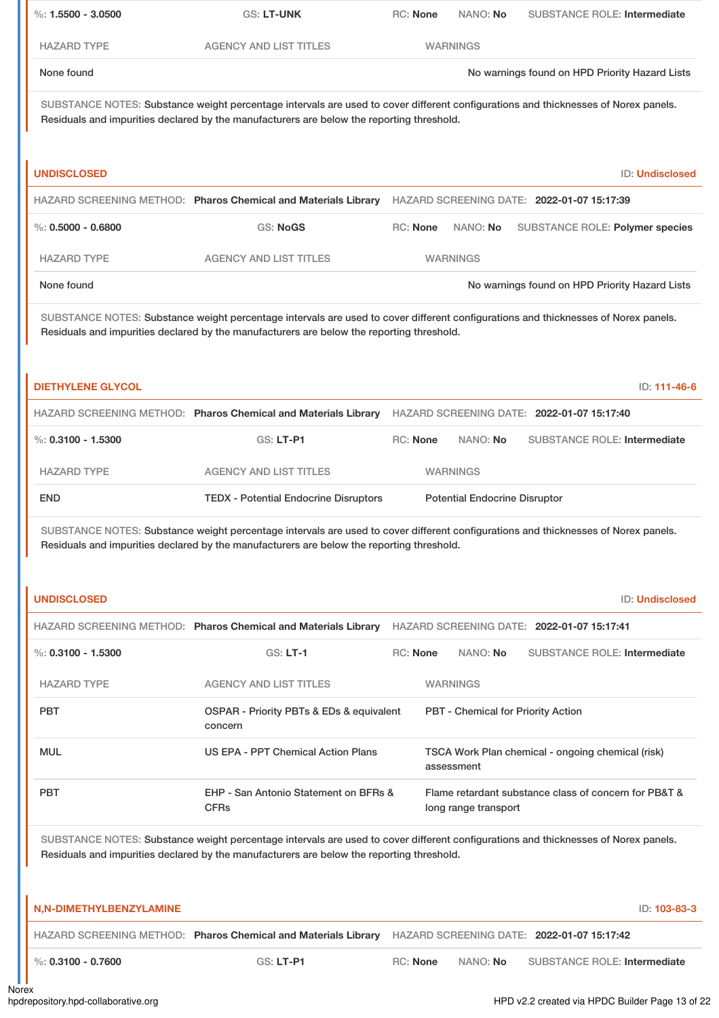| $\%: 1.5500 - 3.0500$                                                                                                                                                                                                           | <b>GS: LT-UNK</b>                                                                                                                                                                                                               | RC: None        | NANO: No                                                | <b>SUBSTANCE ROLE: Intermediate</b>                   |  |
|---------------------------------------------------------------------------------------------------------------------------------------------------------------------------------------------------------------------------------|---------------------------------------------------------------------------------------------------------------------------------------------------------------------------------------------------------------------------------|-----------------|---------------------------------------------------------|-------------------------------------------------------|--|
| <b>HAZARD TYPE</b>                                                                                                                                                                                                              | <b>AGENCY AND LIST TITLES</b>                                                                                                                                                                                                   |                 | <b>WARNINGS</b>                                         |                                                       |  |
| None found                                                                                                                                                                                                                      |                                                                                                                                                                                                                                 |                 |                                                         | No warnings found on HPD Priority Hazard Lists        |  |
|                                                                                                                                                                                                                                 | SUBSTANCE NOTES: Substance weight percentage intervals are used to cover different configurations and thicknesses of Norex panels.<br>Residuals and impurities declared by the manufacturers are below the reporting threshold. |                 |                                                         |                                                       |  |
| <b>UNDISCLOSED</b>                                                                                                                                                                                                              |                                                                                                                                                                                                                                 |                 |                                                         | <b>ID: Undisclosed</b>                                |  |
|                                                                                                                                                                                                                                 | HAZARD SCREENING METHOD: Pharos Chemical and Materials Library HAZARD SCREENING DATE: 2022-01-07 15:17:39                                                                                                                       |                 |                                                         |                                                       |  |
| $\%$ : 0.5000 - 0.6800                                                                                                                                                                                                          | <b>GS: NoGS</b>                                                                                                                                                                                                                 | RC: None        | NANO: No                                                | SUBSTANCE ROLE: Polymer species                       |  |
| <b>HAZARD TYPE</b>                                                                                                                                                                                                              | <b>AGENCY AND LIST TITLES</b>                                                                                                                                                                                                   |                 | <b>WARNINGS</b>                                         |                                                       |  |
| None found                                                                                                                                                                                                                      |                                                                                                                                                                                                                                 |                 |                                                         | No warnings found on HPD Priority Hazard Lists        |  |
| SUBSTANCE NOTES: Substance weight percentage intervals are used to cover different configurations and thicknesses of Norex panels.<br>Residuals and impurities declared by the manufacturers are below the reporting threshold. |                                                                                                                                                                                                                                 |                 |                                                         |                                                       |  |
| <b>DIETHYLENE GLYCOL</b>                                                                                                                                                                                                        |                                                                                                                                                                                                                                 |                 |                                                         | ID: 111-46-6                                          |  |
| $\%$ : 0.3100 - 1.5300                                                                                                                                                                                                          | HAZARD SCREENING METHOD: Pharos Chemical and Materials Library HAZARD SCREENING DATE: 2022-01-07 15:17:40<br>GS: LT-P1                                                                                                          | <b>RC: None</b> | NANO: No                                                | <b>SUBSTANCE ROLE: Intermediate</b>                   |  |
|                                                                                                                                                                                                                                 |                                                                                                                                                                                                                                 |                 |                                                         |                                                       |  |
| <b>HAZARD TYPE</b><br><b>END</b>                                                                                                                                                                                                | <b>AGENCY AND LIST TITLES</b><br><b>TEDX - Potential Endocrine Disruptors</b>                                                                                                                                                   |                 | <b>WARNINGS</b><br><b>Potential Endocrine Disruptor</b> |                                                       |  |
| <b>UNDISCLOSED</b>                                                                                                                                                                                                              | SUBSTANCE NOTES: Substance weight percentage intervals are used to cover different configurations and thicknesses of Norex panels.<br>Residuals and impurities declared by the manufacturers are below the reporting threshold. |                 |                                                         | <b>ID: Undisclosed</b>                                |  |
|                                                                                                                                                                                                                                 |                                                                                                                                                                                                                                 |                 |                                                         |                                                       |  |
| $\%$ : 0.3100 - 1.5300                                                                                                                                                                                                          | HAZARD SCREENING METHOD: Pharos Chemical and Materials Library HAZARD SCREENING DATE: 2022-01-07 15:17:41<br>$GS: LT-1$                                                                                                         | RC: None        | NANO: No                                                | <b>SUBSTANCE ROLE: Intermediate</b>                   |  |
| <b>HAZARD TYPE</b>                                                                                                                                                                                                              | <b>AGENCY AND LIST TITLES</b>                                                                                                                                                                                                   |                 | <b>WARNINGS</b>                                         |                                                       |  |
| <b>PBT</b>                                                                                                                                                                                                                      | OSPAR - Priority PBTs & EDs & equivalent<br>concern                                                                                                                                                                             |                 |                                                         | PBT - Chemical for Priority Action                    |  |
| <b>MUL</b>                                                                                                                                                                                                                      | US EPA - PPT Chemical Action Plans                                                                                                                                                                                              |                 | assessment                                              | TSCA Work Plan chemical - ongoing chemical (risk)     |  |
| <b>PBT</b>                                                                                                                                                                                                                      | EHP - San Antonio Statement on BFRs &<br><b>CFRs</b>                                                                                                                                                                            |                 | long range transport                                    | Flame retardant substance class of concern for PB&T & |  |
| SUBSTANCE NOTES: Substance weight percentage intervals are used to cover different configurations and thicknesses of Norex panels.<br>Residuals and impurities declared by the manufacturers are below the reporting threshold. |                                                                                                                                                                                                                                 |                 |                                                         |                                                       |  |
| N,N-DIMETHYLBENZYLAMINE                                                                                                                                                                                                         |                                                                                                                                                                                                                                 |                 |                                                         | ID: 103-83-3                                          |  |
|                                                                                                                                                                                                                                 | HAZARD SCREENING METHOD: Pharos Chemical and Materials Library                                                                                                                                                                  |                 |                                                         | HAZARD SCREENING DATE: 2022-01-07 15:17:42            |  |
| %: $0.3100 - 0.7600$                                                                                                                                                                                                            | GS: LT-P1                                                                                                                                                                                                                       | RC: None        | NANO: No                                                | <b>SUBSTANCE ROLE: Intermediate</b>                   |  |

П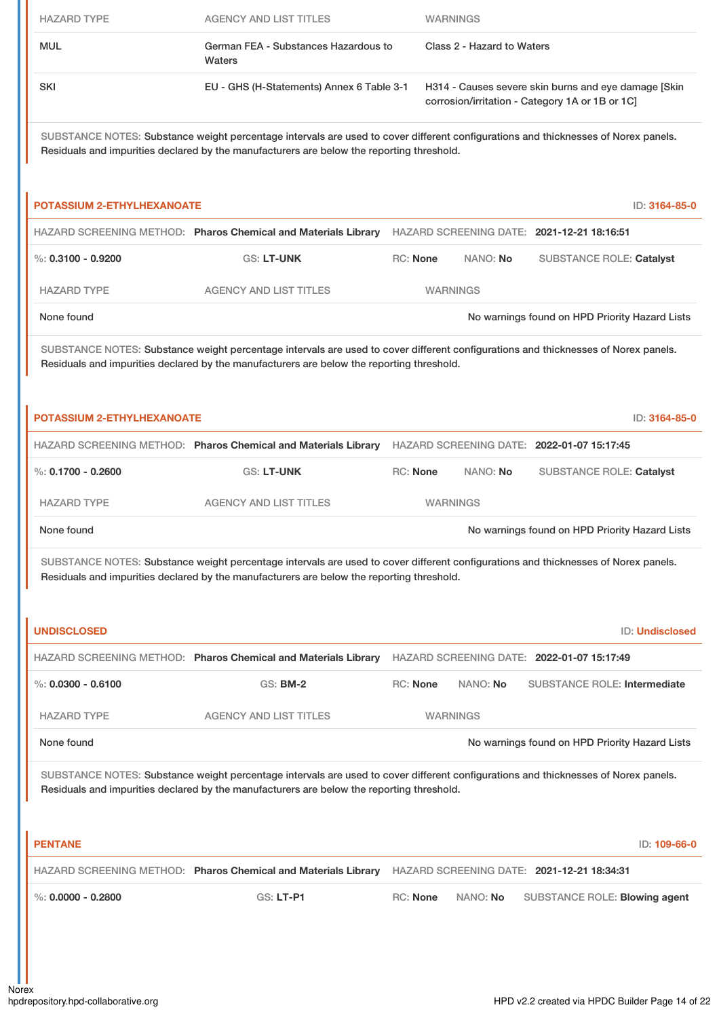| <b>HAZARD TYPE</b>                                                                                                                                                                                                              | <b>AGENCY AND LIST TITLES</b>                                                                                                                                                                                                   |                 |  | <b>WARNINGS</b>            |                                                                                                         |                 |
|---------------------------------------------------------------------------------------------------------------------------------------------------------------------------------------------------------------------------------|---------------------------------------------------------------------------------------------------------------------------------------------------------------------------------------------------------------------------------|-----------------|--|----------------------------|---------------------------------------------------------------------------------------------------------|-----------------|
| <b>MUL</b>                                                                                                                                                                                                                      | German FEA - Substances Hazardous to<br>Waters                                                                                                                                                                                  |                 |  | Class 2 - Hazard to Waters |                                                                                                         |                 |
| <b>SKI</b>                                                                                                                                                                                                                      | EU - GHS (H-Statements) Annex 6 Table 3-1                                                                                                                                                                                       |                 |  |                            | H314 - Causes severe skin burns and eye damage [Skin<br>corrosion/irritation - Category 1A or 1B or 1C] |                 |
| SUBSTANCE NOTES: Substance weight percentage intervals are used to cover different configurations and thicknesses of Norex panels.<br>Residuals and impurities declared by the manufacturers are below the reporting threshold. |                                                                                                                                                                                                                                 |                 |  |                            |                                                                                                         |                 |
| <b>POTASSIUM 2-ETHYLHEXANOATE</b>                                                                                                                                                                                               |                                                                                                                                                                                                                                 |                 |  |                            |                                                                                                         | ID: 3164-85-0   |
|                                                                                                                                                                                                                                 | HAZARD SCREENING METHOD: Pharos Chemical and Materials Library HAZARD SCREENING DATE: 2021-12-21 18:16:51                                                                                                                       |                 |  |                            |                                                                                                         |                 |
| $\%$ : 0.3100 - 0.9200                                                                                                                                                                                                          | <b>GS: LT-UNK</b>                                                                                                                                                                                                               | <b>RC: None</b> |  | NANO: No                   | <b>SUBSTANCE ROLE: Catalyst</b>                                                                         |                 |
| <b>HAZARD TYPE</b>                                                                                                                                                                                                              | <b>AGENCY AND LIST TITLES</b>                                                                                                                                                                                                   |                 |  | <b>WARNINGS</b>            |                                                                                                         |                 |
| None found                                                                                                                                                                                                                      |                                                                                                                                                                                                                                 |                 |  |                            | No warnings found on HPD Priority Hazard Lists                                                          |                 |
|                                                                                                                                                                                                                                 | SUBSTANCE NOTES: Substance weight percentage intervals are used to cover different configurations and thicknesses of Norex panels.<br>Residuals and impurities declared by the manufacturers are below the reporting threshold. |                 |  |                            |                                                                                                         |                 |
| <b>POTASSIUM 2-ETHYLHEXANOATE</b>                                                                                                                                                                                               |                                                                                                                                                                                                                                 |                 |  |                            |                                                                                                         | ID: 3164-85-0   |
|                                                                                                                                                                                                                                 | HAZARD SCREENING METHOD: Pharos Chemical and Materials Library                                                                                                                                                                  |                 |  |                            | HAZARD SCREENING DATE: 2022-01-07 15:17:45                                                              |                 |
| %: $0.1700 - 0.2600$                                                                                                                                                                                                            | GS: LT-UNK                                                                                                                                                                                                                      | RC: None        |  | NANO: No                   | <b>SUBSTANCE ROLE: Catalyst</b>                                                                         |                 |
| <b>HAZARD TYPE</b>                                                                                                                                                                                                              | <b>AGENCY AND LIST TITLES</b>                                                                                                                                                                                                   |                 |  | <b>WARNINGS</b>            |                                                                                                         |                 |
| None found                                                                                                                                                                                                                      |                                                                                                                                                                                                                                 |                 |  |                            | No warnings found on HPD Priority Hazard Lists                                                          |                 |
|                                                                                                                                                                                                                                 | SUBSTANCE NOTES: Substance weight percentage intervals are used to cover different configurations and thicknesses of Norex panels.<br>Residuals and impurities declared by the manufacturers are below the reporting threshold. |                 |  |                            |                                                                                                         |                 |
| <b>UNDISCLOSED</b>                                                                                                                                                                                                              |                                                                                                                                                                                                                                 |                 |  |                            |                                                                                                         | ID: Undisclosed |
|                                                                                                                                                                                                                                 | HAZARD SCREENING METHOD: Pharos Chemical and Materials Library                                                                                                                                                                  |                 |  |                            | HAZARD SCREENING DATE: 2022-01-07 15:17:49                                                              |                 |
| $\%$ : 0.0300 - 0.6100                                                                                                                                                                                                          | <b>GS: BM-2</b>                                                                                                                                                                                                                 | RC: None        |  | NANO: No                   | <b>SUBSTANCE ROLE: Intermediate</b>                                                                     |                 |
| <b>HAZARD TYPE</b>                                                                                                                                                                                                              | <b>AGENCY AND LIST TITLES</b>                                                                                                                                                                                                   |                 |  | <b>WARNINGS</b>            |                                                                                                         |                 |
| None found                                                                                                                                                                                                                      |                                                                                                                                                                                                                                 |                 |  |                            | No warnings found on HPD Priority Hazard Lists                                                          |                 |
| SUBSTANCE NOTES: Substance weight percentage intervals are used to cover different configurations and thicknesses of Norex panels.<br>Residuals and impurities declared by the manufacturers are below the reporting threshold. |                                                                                                                                                                                                                                 |                 |  |                            |                                                                                                         |                 |
| <b>PENTANE</b>                                                                                                                                                                                                                  |                                                                                                                                                                                                                                 |                 |  |                            |                                                                                                         | ID: 109-66-0    |
|                                                                                                                                                                                                                                 | HAZARD SCREENING METHOD: Pharos Chemical and Materials Library                                                                                                                                                                  |                 |  |                            | HAZARD SCREENING DATE: 2021-12-21 18:34:31                                                              |                 |
| $\%$ : 0.0000 - 0.2800                                                                                                                                                                                                          | <b>GS: LT-P1</b>                                                                                                                                                                                                                | <b>RC: None</b> |  | NANO: No                   | SUBSTANCE ROLE: Blowing agent                                                                           |                 |
|                                                                                                                                                                                                                                 |                                                                                                                                                                                                                                 |                 |  |                            |                                                                                                         |                 |
|                                                                                                                                                                                                                                 |                                                                                                                                                                                                                                 |                 |  |                            |                                                                                                         |                 |
|                                                                                                                                                                                                                                 |                                                                                                                                                                                                                                 |                 |  |                            |                                                                                                         |                 |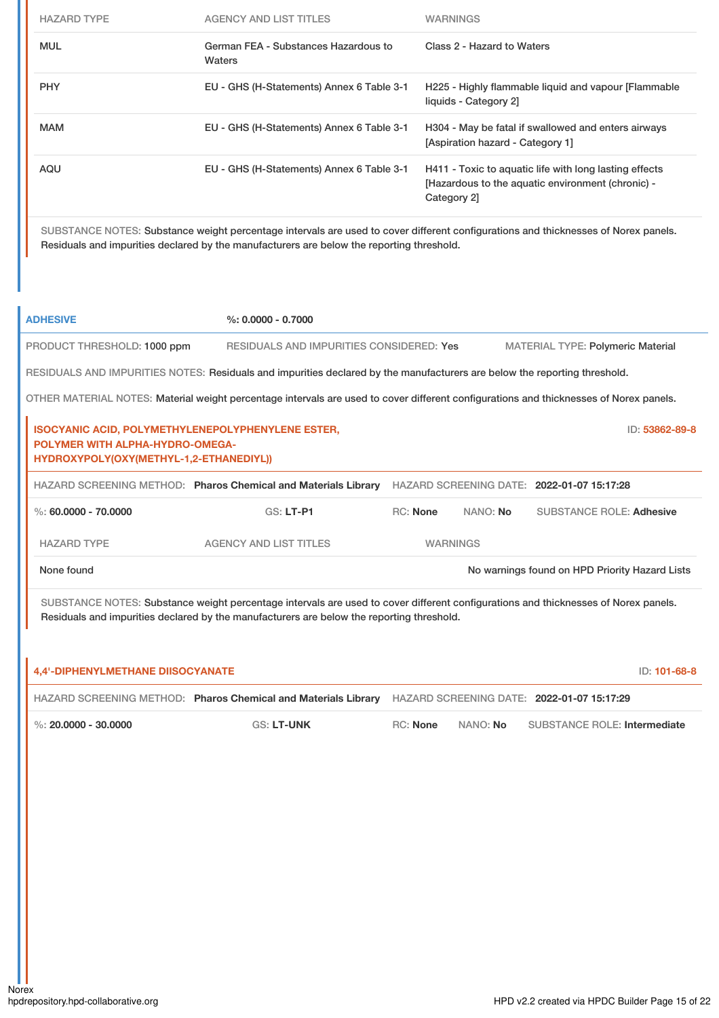| <b>HAZARD TYPE</b> | AGENCY AND LIST TITLES                         | WARNINGS                                                                                                                   |
|--------------------|------------------------------------------------|----------------------------------------------------------------------------------------------------------------------------|
| <b>MUL</b>         | German FEA - Substances Hazardous to<br>Waters | Class 2 - Hazard to Waters                                                                                                 |
| <b>PHY</b>         | EU - GHS (H-Statements) Annex 6 Table 3-1      | H225 - Highly flammable liquid and vapour [Flammable<br>liquids - Category 2]                                              |
| <b>MAM</b>         | EU - GHS (H-Statements) Annex 6 Table 3-1      | H304 - May be fatal if swallowed and enters airways<br>[Aspiration hazard - Category 1]                                    |
| AQU                | EU - GHS (H-Statements) Annex 6 Table 3-1      | H411 - Toxic to aquatic life with long lasting effects<br>[Hazardous to the aquatic environment (chronic) -<br>Category 21 |

SUBSTANCE NOTES: Substance weight percentage intervals are used to cover different configurations and thicknesses of Norex panels. Residuals and impurities declared by the manufacturers are below the reporting threshold.

| <b>ADHESIVE</b>                                                                                                                                                                                                                 | $\%: 0.0000 - 0.7000$                                                                                                                  |                 |                 |                                                |           |
|---------------------------------------------------------------------------------------------------------------------------------------------------------------------------------------------------------------------------------|----------------------------------------------------------------------------------------------------------------------------------------|-----------------|-----------------|------------------------------------------------|-----------|
| PRODUCT THRESHOLD: 1000 ppm                                                                                                                                                                                                     | <b>RESIDUALS AND IMPURITIES CONSIDERED: Yes</b>                                                                                        |                 |                 | <b>MATERIAL TYPE: Polymeric Material</b>       |           |
|                                                                                                                                                                                                                                 | RESIDUALS AND IMPURITIES NOTES: Residuals and impurities declared by the manufacturers are below the reporting threshold.              |                 |                 |                                                |           |
|                                                                                                                                                                                                                                 | OTHER MATERIAL NOTES: Material weight percentage intervals are used to cover different configurations and thicknesses of Norex panels. |                 |                 |                                                |           |
| <b>ISOCYANIC ACID, POLYMETHYLENEPOLYPHENYLENE ESTER,</b><br>ID: 53862-89-8<br>POLYMER WITH ALPHA-HYDRO-OMEGA-<br>HYDROXYPOLY(OXY(METHYL-1,2-ETHANEDIYL))                                                                        |                                                                                                                                        |                 |                 |                                                |           |
|                                                                                                                                                                                                                                 | HAZARD SCREENING METHOD: Pharos Chemical and Materials Library                                                                         |                 |                 | HAZARD SCREENING DATE: 2022-01-07 15:17:28     |           |
| $\%$ : 60.0000 - 70.0000                                                                                                                                                                                                        | <b>GS: LT-P1</b>                                                                                                                       | <b>RC: None</b> | NANO: No        | <b>SUBSTANCE ROLE: Adhesive</b>                |           |
| <b>HAZARD TYPE</b>                                                                                                                                                                                                              | <b>AGENCY AND LIST TITLES</b>                                                                                                          |                 | <b>WARNINGS</b> |                                                |           |
| None found                                                                                                                                                                                                                      |                                                                                                                                        |                 |                 | No warnings found on HPD Priority Hazard Lists |           |
| SUBSTANCE NOTES: Substance weight percentage intervals are used to cover different configurations and thicknesses of Norex panels.<br>Residuals and impurities declared by the manufacturers are below the reporting threshold. |                                                                                                                                        |                 |                 |                                                |           |
| <b>AL INTERNATIONAL PROGRAMMENT INTO A CONTRACT OF THE</b>                                                                                                                                                                      |                                                                                                                                        |                 |                 |                                                | 15.383888 |

| <b>4.4'-DIPHENYLMETHANE DIISOCYANATE</b> |                                                                |          |                 |                                            | ID: 101-68-8 |
|------------------------------------------|----------------------------------------------------------------|----------|-----------------|--------------------------------------------|--------------|
|                                          | HAZARD SCREENING METHOD: Pharos Chemical and Materials Library |          |                 | HAZARD SCREENING DATE: 2022-01-07 15:17:29 |              |
| %: 20,0000 - 30,0000                     | <b>GS: LT-UNK</b>                                              | RC: None | NANO: <b>No</b> | SUBSTANCE ROLE: Intermediate               |              |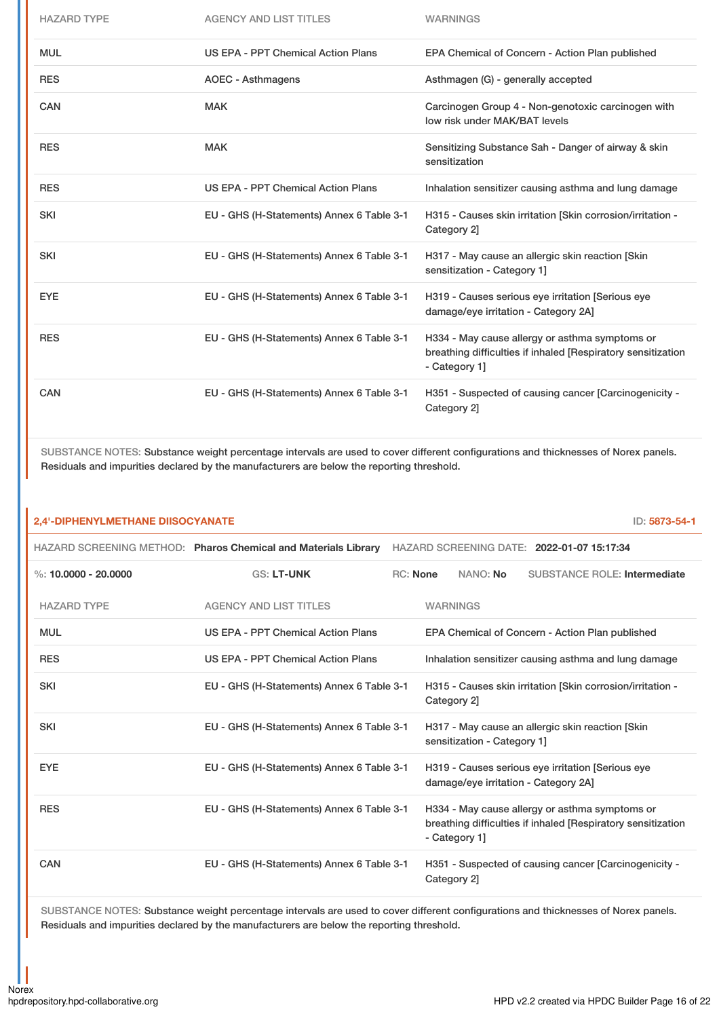| <b>HAZARD TYPE</b> | <b>AGENCY AND LIST TITLES</b>             | <b>WARNINGS</b>                                                                                                                 |
|--------------------|-------------------------------------------|---------------------------------------------------------------------------------------------------------------------------------|
| <b>MUL</b>         | US EPA - PPT Chemical Action Plans        | EPA Chemical of Concern - Action Plan published                                                                                 |
| <b>RES</b>         | <b>AOEC - Asthmagens</b>                  | Asthmagen (G) - generally accepted                                                                                              |
| CAN                | <b>MAK</b>                                | Carcinogen Group 4 - Non-genotoxic carcinogen with<br>low risk under MAK/BAT levels                                             |
| <b>RES</b>         | <b>MAK</b>                                | Sensitizing Substance Sah - Danger of airway & skin<br>sensitization                                                            |
| <b>RES</b>         | <b>US EPA - PPT Chemical Action Plans</b> | Inhalation sensitizer causing asthma and lung damage                                                                            |
| <b>SKI</b>         | EU - GHS (H-Statements) Annex 6 Table 3-1 | H315 - Causes skin irritation [Skin corrosion/irritation -<br>Category 2]                                                       |
| <b>SKI</b>         | EU - GHS (H-Statements) Annex 6 Table 3-1 | H317 - May cause an allergic skin reaction [Skin]<br>sensitization - Category 1]                                                |
| <b>EYE</b>         | EU - GHS (H-Statements) Annex 6 Table 3-1 | H319 - Causes serious eye irritation [Serious eye<br>damage/eye irritation - Category 2A]                                       |
| <b>RES</b>         | EU - GHS (H-Statements) Annex 6 Table 3-1 | H334 - May cause allergy or asthma symptoms or<br>breathing difficulties if inhaled [Respiratory sensitization<br>- Category 1] |
| <b>CAN</b>         | EU - GHS (H-Statements) Annex 6 Table 3-1 | H351 - Suspected of causing cancer [Carcinogenicity -<br>Category 2]                                                            |

SUBSTANCE NOTES: Substance weight percentage intervals are used to cover different configurations and thicknesses of Norex panels. Residuals and impurities declared by the manufacturers are below the reporting threshold.

| 2,4'-DIPHENYLMETHANE DIISOCYANATE |                                                                |          |                             |                                                                                           | ID: 5873-54-1                                                |  |
|-----------------------------------|----------------------------------------------------------------|----------|-----------------------------|-------------------------------------------------------------------------------------------|--------------------------------------------------------------|--|
|                                   | HAZARD SCREENING METHOD: Pharos Chemical and Materials Library |          |                             | HAZARD SCREENING DATE: 2022-01-07 15:17:34                                                |                                                              |  |
| %: 10.0000 - 20.0000              | <b>GS: LT-UNK</b>                                              | RC: None | NANO: No                    |                                                                                           | <b>SUBSTANCE ROLE: Intermediate</b>                          |  |
| <b>HAZARD TYPE</b>                | <b>AGENCY AND LIST TITLES</b>                                  |          | <b>WARNINGS</b>             |                                                                                           |                                                              |  |
| <b>MUL</b>                        | US EPA - PPT Chemical Action Plans                             |          |                             | EPA Chemical of Concern - Action Plan published                                           |                                                              |  |
| <b>RES</b>                        | US EPA - PPT Chemical Action Plans                             |          |                             |                                                                                           | Inhalation sensitizer causing asthma and lung damage         |  |
| <b>SKI</b>                        | EU - GHS (H-Statements) Annex 6 Table 3-1                      |          | Category 2]                 |                                                                                           | H315 - Causes skin irritation [Skin corrosion/irritation -   |  |
| <b>SKI</b>                        | EU - GHS (H-Statements) Annex 6 Table 3-1                      |          | sensitization - Category 1] | H317 - May cause an allergic skin reaction [Skin]                                         |                                                              |  |
| <b>EYE</b>                        | EU - GHS (H-Statements) Annex 6 Table 3-1                      |          |                             | H319 - Causes serious eye irritation [Serious eye<br>damage/eye irritation - Category 2A] |                                                              |  |
| <b>RES</b>                        | EU - GHS (H-Statements) Annex 6 Table 3-1                      |          | - Category 11               | H334 - May cause allergy or asthma symptoms or                                            | breathing difficulties if inhaled [Respiratory sensitization |  |
| CAN                               | EU - GHS (H-Statements) Annex 6 Table 3-1                      |          | Category 2]                 |                                                                                           | H351 - Suspected of causing cancer [Carcinogenicity -        |  |

SUBSTANCE NOTES: Substance weight percentage intervals are used to cover different configurations and thicknesses of Norex panels. Residuals and impurities declared by the manufacturers are below the reporting threshold.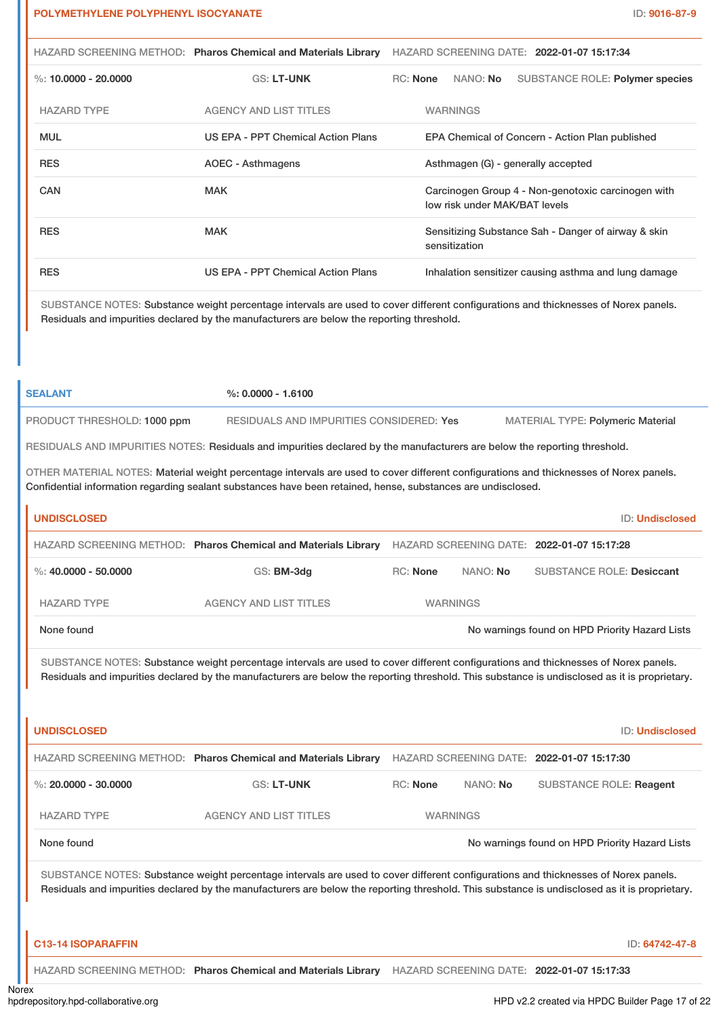|                                                                                                                                                                                                                                 | HAZARD SCREENING METHOD: Pharos Chemical and Materials Library | HAZARD SCREENING DATE: 2022-01-07 15:17:34                                          |  |  |  |
|---------------------------------------------------------------------------------------------------------------------------------------------------------------------------------------------------------------------------------|----------------------------------------------------------------|-------------------------------------------------------------------------------------|--|--|--|
| %: 10,0000 - 20,0000                                                                                                                                                                                                            | <b>GS: LT-UNK</b>                                              | NANO: No<br><b>RC:</b> None<br><b>SUBSTANCE ROLE: Polymer species</b>               |  |  |  |
| <b>HAZARD TYPE</b>                                                                                                                                                                                                              | <b>AGENCY AND LIST TITLES</b>                                  | <b>WARNINGS</b>                                                                     |  |  |  |
| <b>MUL</b>                                                                                                                                                                                                                      | US EPA - PPT Chemical Action Plans                             | EPA Chemical of Concern - Action Plan published                                     |  |  |  |
| <b>RES</b>                                                                                                                                                                                                                      | <b>AOEC - Asthmagens</b>                                       | Asthmagen (G) - generally accepted                                                  |  |  |  |
| <b>CAN</b>                                                                                                                                                                                                                      | <b>MAK</b>                                                     | Carcinogen Group 4 - Non-genotoxic carcinogen with<br>low risk under MAK/BAT levels |  |  |  |
| <b>RES</b>                                                                                                                                                                                                                      | <b>MAK</b>                                                     | Sensitizing Substance Sah - Danger of airway & skin<br>sensitization                |  |  |  |
| <b>RES</b>                                                                                                                                                                                                                      | US EPA - PPT Chemical Action Plans                             | Inhalation sensitizer causing asthma and lung damage                                |  |  |  |
| SUBSTANCE NOTES: Substance weight percentage intervals are used to cover different configurations and thicknesses of Norex panels.<br>Residuals and impurities declared by the manufacturers are below the reporting threshold. |                                                                |                                                                                     |  |  |  |

| <b>SEALANT</b>              | $\%$ : 0.0000 - 1.6100                   |                                          |
|-----------------------------|------------------------------------------|------------------------------------------|
| PRODUCT THRESHOLD: 1000 ppm | RESIDUALS AND IMPURITIES CONSIDERED: Yes | <b>MATERIAL TYPE: Polymeric Material</b> |

RESIDUALS AND IMPURITIES NOTES: Residuals and impurities declared by the manufacturers are below the reporting threshold.

OTHER MATERIAL NOTES: Material weight percentage intervals are used to cover different configurations and thicknesses of Norex panels. Confidential information regarding sealant substances have been retained, hense, substances are undisclosed.

| <b>UNDISCLOSED</b>   |                                                                |                 |          | <b>ID: Undisclosed</b>                         |
|----------------------|----------------------------------------------------------------|-----------------|----------|------------------------------------------------|
|                      | HAZARD SCREENING METHOD: Pharos Chemical and Materials Library |                 |          | HAZARD SCREENING DATE: 2022-01-07 15:17:28     |
| %: 40,0000 - 50,0000 | GS: BM-3dg                                                     | <b>RC:</b> None | NANO: No | <b>SUBSTANCE ROLE: Desiccant</b>               |
| <b>HAZARD TYPE</b>   | <b>AGENCY AND LIST TITLES</b>                                  | <b>WARNINGS</b> |          |                                                |
| None found           |                                                                |                 |          | No warnings found on HPD Priority Hazard Lists |

SUBSTANCE NOTES: Substance weight percentage intervals are used to cover different configurations and thicknesses of Norex panels. Residuals and impurities declared by the manufacturers are below the reporting threshold. This substance is undisclosed as it is proprietary.

| <b>UNDISCLOSED</b>                                                                                                                                                                                                                                                                  |                                                                |                 |          | <b>ID: Undisclosed</b>                         |  |
|-------------------------------------------------------------------------------------------------------------------------------------------------------------------------------------------------------------------------------------------------------------------------------------|----------------------------------------------------------------|-----------------|----------|------------------------------------------------|--|
|                                                                                                                                                                                                                                                                                     | HAZARD SCREENING METHOD: Pharos Chemical and Materials Library |                 |          | HAZARD SCREENING DATE: 2022-01-07 15:17:30     |  |
| %: 20,0000 - 30,0000                                                                                                                                                                                                                                                                | <b>GS: LT-UNK</b>                                              | RC: None        | NANO: No | SUBSTANCE ROLE: Reagent                        |  |
| <b>HAZARD TYPE</b>                                                                                                                                                                                                                                                                  | <b>AGENCY AND LIST TITLES</b>                                  | <b>WARNINGS</b> |          |                                                |  |
| None found                                                                                                                                                                                                                                                                          |                                                                |                 |          | No warnings found on HPD Priority Hazard Lists |  |
| SUBSTANCE NOTES: Substance weight percentage intervals are used to cover different configurations and thicknesses of Norex panels.<br>Residuals and impurities declared by the manufacturers are below the reporting threshold. This substance is undisclosed as it is proprietary. |                                                                |                 |          |                                                |  |
| <b>C13-14 ISOPARAFFIN</b>                                                                                                                                                                                                                                                           |                                                                |                 |          | ID: 64742-47-8                                 |  |

HAZARD SCREENING METHOD: **Pharos Chemical and Materials Library** HAZARD SCREENING DATE: **2022-01-07 15:17:33**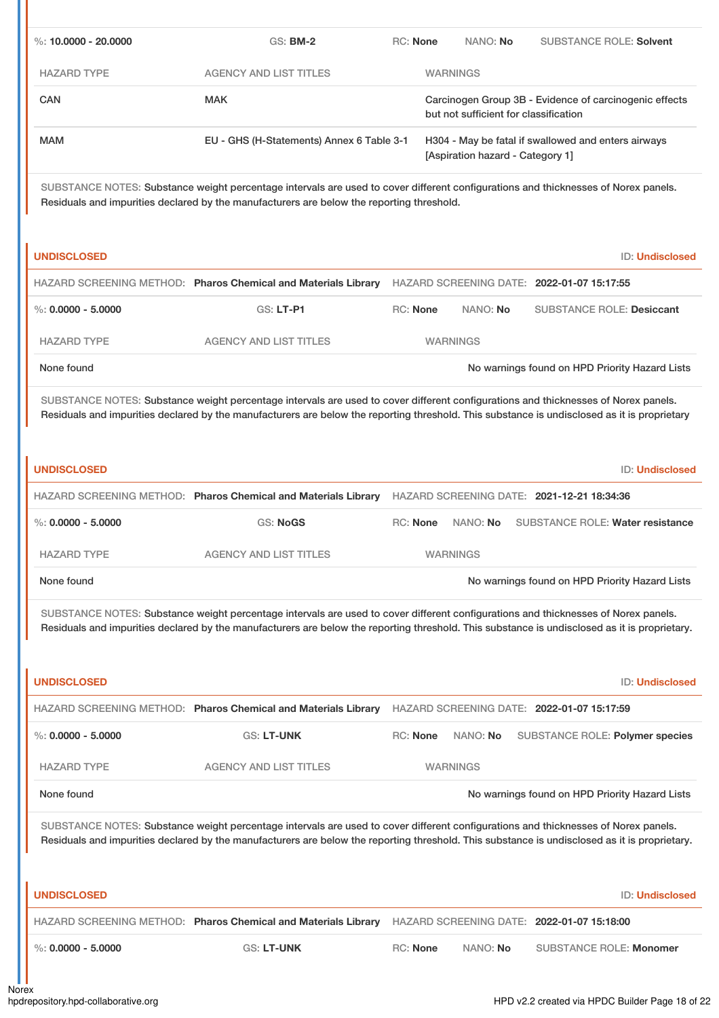| %: $10.0000 - 20.0000$                                                                                                                                                                                                                                                             | <b>GS: BM-2</b>                                                                                                                                                                                                                                                                     | RC: None                         |  | NANO: No                              | <b>SUBSTANCE ROLE: Solvent</b>                         |
|------------------------------------------------------------------------------------------------------------------------------------------------------------------------------------------------------------------------------------------------------------------------------------|-------------------------------------------------------------------------------------------------------------------------------------------------------------------------------------------------------------------------------------------------------------------------------------|----------------------------------|--|---------------------------------------|--------------------------------------------------------|
| <b>HAZARD TYPE</b>                                                                                                                                                                                                                                                                 | <b>AGENCY AND LIST TITLES</b>                                                                                                                                                                                                                                                       |                                  |  | <b>WARNINGS</b>                       |                                                        |
| <b>CAN</b>                                                                                                                                                                                                                                                                         | <b>MAK</b>                                                                                                                                                                                                                                                                          |                                  |  | but not sufficient for classification | Carcinogen Group 3B - Evidence of carcinogenic effects |
| <b>MAM</b>                                                                                                                                                                                                                                                                         | EU - GHS (H-Statements) Annex 6 Table 3-1                                                                                                                                                                                                                                           | [Aspiration hazard - Category 1] |  |                                       | H304 - May be fatal if swallowed and enters airways    |
|                                                                                                                                                                                                                                                                                    | SUBSTANCE NOTES: Substance weight percentage intervals are used to cover different configurations and thicknesses of Norex panels.<br>Residuals and impurities declared by the manufacturers are below the reporting threshold.                                                     |                                  |  |                                       |                                                        |
| <b>UNDISCLOSED</b>                                                                                                                                                                                                                                                                 |                                                                                                                                                                                                                                                                                     |                                  |  |                                       | <b>ID: Undisclosed</b>                                 |
|                                                                                                                                                                                                                                                                                    | HAZARD SCREENING METHOD: Pharos Chemical and Materials Library                                                                                                                                                                                                                      |                                  |  |                                       | HAZARD SCREENING DATE: 2022-01-07 15:17:55             |
| %: $0.0000 - 5.0000$                                                                                                                                                                                                                                                               | GS: LT-P1                                                                                                                                                                                                                                                                           | <b>RC: None</b>                  |  | NANO: No                              | <b>SUBSTANCE ROLE: Desiccant</b>                       |
| <b>HAZARD TYPE</b>                                                                                                                                                                                                                                                                 | <b>AGENCY AND LIST TITLES</b>                                                                                                                                                                                                                                                       |                                  |  | <b>WARNINGS</b>                       |                                                        |
| None found                                                                                                                                                                                                                                                                         |                                                                                                                                                                                                                                                                                     |                                  |  |                                       | No warnings found on HPD Priority Hazard Lists         |
| SUBSTANCE NOTES: Substance weight percentage intervals are used to cover different configurations and thicknesses of Norex panels.<br>Residuals and impurities declared by the manufacturers are below the reporting threshold. This substance is undisclosed as it is proprietary |                                                                                                                                                                                                                                                                                     |                                  |  |                                       |                                                        |
| <b>UNDISCLOSED</b>                                                                                                                                                                                                                                                                 |                                                                                                                                                                                                                                                                                     |                                  |  |                                       | <b>ID: Undisclosed</b>                                 |
|                                                                                                                                                                                                                                                                                    | HAZARD SCREENING METHOD: Pharos Chemical and Materials Library HAZARD SCREENING DATE: 2021-12-21 18:34:36                                                                                                                                                                           |                                  |  |                                       |                                                        |
| $\%: 0.0000 - 5.0000$                                                                                                                                                                                                                                                              | <b>GS: NoGS</b>                                                                                                                                                                                                                                                                     | RC: None                         |  | NANO: No                              | <b>SUBSTANCE ROLE: Water resistance</b>                |
| <b>HAZARD TYPE</b>                                                                                                                                                                                                                                                                 | <b>AGENCY AND LIST TITLES</b>                                                                                                                                                                                                                                                       |                                  |  | <b>WARNINGS</b>                       |                                                        |
| None found                                                                                                                                                                                                                                                                         |                                                                                                                                                                                                                                                                                     |                                  |  |                                       | No warnings found on HPD Priority Hazard Lists         |
|                                                                                                                                                                                                                                                                                    | SUBSTANCE NOTES: Substance weight percentage intervals are used to cover different configurations and thicknesses of Norex panels.<br>Residuals and impurities declared by the manufacturers are below the reporting threshold. This substance is undisclosed as it is proprietary. |                                  |  |                                       |                                                        |
| <b>UNDISCLOSED</b>                                                                                                                                                                                                                                                                 |                                                                                                                                                                                                                                                                                     |                                  |  |                                       | <b>ID: Undisclosed</b>                                 |
|                                                                                                                                                                                                                                                                                    | HAZARD SCREENING METHOD: Pharos Chemical and Materials Library                                                                                                                                                                                                                      |                                  |  |                                       | HAZARD SCREENING DATE: 2022-01-07 15:17:59             |
| %: $0.0000 - 5.0000$                                                                                                                                                                                                                                                               | GS: LT-UNK                                                                                                                                                                                                                                                                          | <b>RC: None</b>                  |  | NANO: No                              | SUBSTANCE ROLE: Polymer species                        |
| <b>HAZARD TYPE</b>                                                                                                                                                                                                                                                                 | <b>AGENCY AND LIST TITLES</b>                                                                                                                                                                                                                                                       |                                  |  | <b>WARNINGS</b>                       |                                                        |
| None found                                                                                                                                                                                                                                                                         |                                                                                                                                                                                                                                                                                     |                                  |  |                                       | No warnings found on HPD Priority Hazard Lists         |
|                                                                                                                                                                                                                                                                                    | SUBSTANCE NOTES: Substance weight percentage intervals are used to cover different configurations and thicknesses of Norex panels.<br>Residuals and impurities declared by the manufacturers are below the reporting threshold. This substance is undisclosed as it is proprietary. |                                  |  |                                       |                                                        |
| <b>UNDISCLOSED</b>                                                                                                                                                                                                                                                                 |                                                                                                                                                                                                                                                                                     |                                  |  |                                       | <b>ID: Undisclosed</b>                                 |
|                                                                                                                                                                                                                                                                                    | HAZARD SCREENING METHOD: Pharos Chemical and Materials Library                                                                                                                                                                                                                      |                                  |  |                                       | HAZARD SCREENING DATE: 2022-01-07 15:18:00             |
| $\%: 0.0000 - 5.0000$                                                                                                                                                                                                                                                              | <b>GS: LT-UNK</b>                                                                                                                                                                                                                                                                   | <b>RC: None</b>                  |  | NANO: No                              | <b>SUBSTANCE ROLE: Monomer</b>                         |
|                                                                                                                                                                                                                                                                                    |                                                                                                                                                                                                                                                                                     |                                  |  |                                       |                                                        |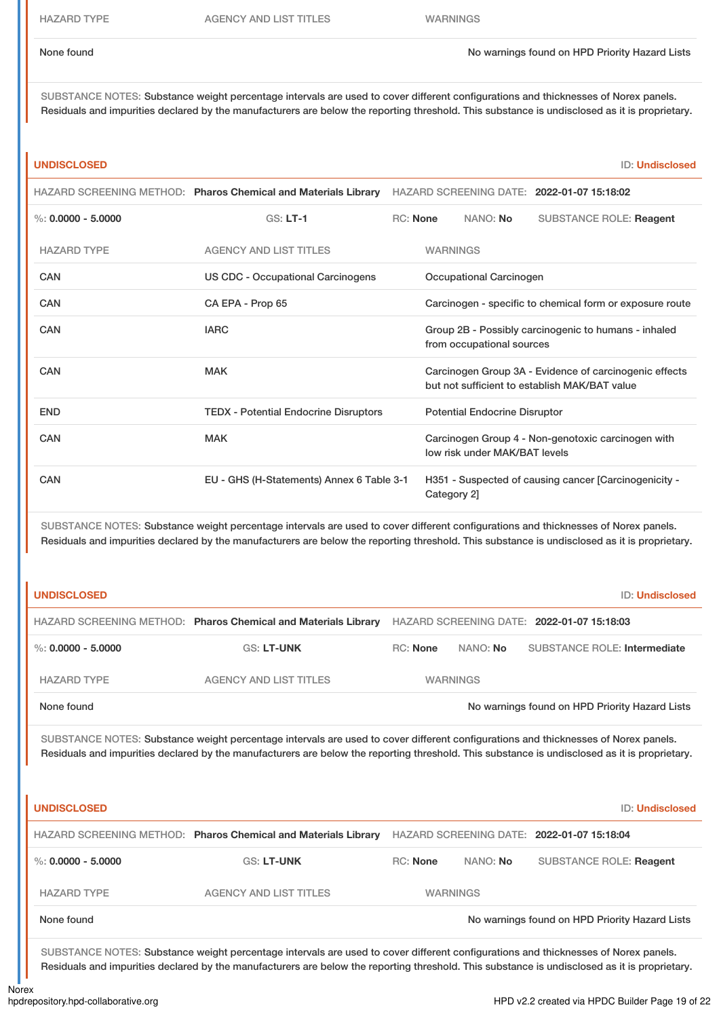None found Now arrings found on HPD Priority Hazard Lists

SUBSTANCE NOTES: Substance weight percentage intervals are used to cover different configurations and thicknesses of Norex panels. Residuals and impurities declared by the manufacturers are below the reporting threshold. This substance is undisclosed as it is proprietary.

### **UNDISCLOSED** ID: **Undisclosed**

|                                                                                                                                                                                                                                                                                     | HAZARD SCREENING METHOD: Pharos Chemical and Materials Library | HAZARD SCREENING DATE: 2022-01-07 15:18:02                                                              |                                      |                               |                                                          |  |
|-------------------------------------------------------------------------------------------------------------------------------------------------------------------------------------------------------------------------------------------------------------------------------------|----------------------------------------------------------------|---------------------------------------------------------------------------------------------------------|--------------------------------------|-------------------------------|----------------------------------------------------------|--|
| %: $0.0000 - 5.0000$                                                                                                                                                                                                                                                                | $GS: LT-1$                                                     | <b>RC: None</b>                                                                                         |                                      | NANO: No                      | <b>SUBSTANCE ROLE: Reagent</b>                           |  |
| <b>HAZARD TYPE</b>                                                                                                                                                                                                                                                                  | <b>AGENCY AND LIST TITLES</b>                                  |                                                                                                         | <b>WARNINGS</b>                      |                               |                                                          |  |
| CAN                                                                                                                                                                                                                                                                                 | <b>US CDC - Occupational Carcinogens</b>                       |                                                                                                         |                                      | Occupational Carcinogen       |                                                          |  |
| <b>CAN</b>                                                                                                                                                                                                                                                                          | CA EPA - Prop 65                                               |                                                                                                         |                                      |                               | Carcinogen - specific to chemical form or exposure route |  |
| <b>CAN</b>                                                                                                                                                                                                                                                                          | <b>IARC</b>                                                    | Group 2B - Possibly carcinogenic to humans - inhaled<br>from occupational sources                       |                                      |                               |                                                          |  |
| <b>CAN</b>                                                                                                                                                                                                                                                                          | <b>MAK</b>                                                     | Carcinogen Group 3A - Evidence of carcinogenic effects<br>but not sufficient to establish MAK/BAT value |                                      |                               |                                                          |  |
| <b>END</b>                                                                                                                                                                                                                                                                          | <b>TEDX - Potential Endocrine Disruptors</b>                   |                                                                                                         | <b>Potential Endocrine Disruptor</b> |                               |                                                          |  |
| <b>CAN</b>                                                                                                                                                                                                                                                                          | <b>MAK</b>                                                     |                                                                                                         |                                      | low risk under MAK/BAT levels | Carcinogen Group 4 - Non-genotoxic carcinogen with       |  |
| CAN                                                                                                                                                                                                                                                                                 | EU - GHS (H-Statements) Annex 6 Table 3-1                      |                                                                                                         | Category 2]                          |                               | H351 - Suspected of causing cancer [Carcinogenicity -    |  |
| SUBSTANCE NOTES: Substance weight percentage intervals are used to cover different configurations and thicknesses of Norex panels.<br>Residuals and impurities declared by the manufacturers are below the reporting threshold. This substance is undisclosed as it is proprietary. |                                                                |                                                                                                         |                                      |                               |                                                          |  |
| <b>UNDISCLOSED</b>                                                                                                                                                                                                                                                                  |                                                                |                                                                                                         |                                      |                               | <b>ID: Undisclosed</b>                                   |  |

|                      | HAZARD SCREENING METHOD: Pharos Chemical and Materials Library |                 |                 | HAZARD SCREENING DATE: 2022-01-07 15:18:03     |
|----------------------|----------------------------------------------------------------|-----------------|-----------------|------------------------------------------------|
| %: $0.0000 - 5.0000$ | <b>GS: LT-UNK</b>                                              | <b>RC:</b> None | NANO: <b>No</b> | SUBSTANCE ROLE: Intermediate                   |
| <b>HAZARD TYPE</b>   | <b>AGENCY AND LIST TITLES</b>                                  |                 | <b>WARNINGS</b> |                                                |
| None found           |                                                                |                 |                 | No warnings found on HPD Priority Hazard Lists |

SUBSTANCE NOTES: Substance weight percentage intervals are used to cover different configurations and thicknesses of Norex panels. Residuals and impurities declared by the manufacturers are below the reporting threshold. This substance is undisclosed as it is proprietary.

| <b>UNDISCLOSED</b>   |                                                                |                 |          | ID: Undisclosed                                |
|----------------------|----------------------------------------------------------------|-----------------|----------|------------------------------------------------|
|                      | HAZARD SCREENING METHOD: Pharos Chemical and Materials Library |                 |          | HAZARD SCREENING DATE: 2022-01-07 15:18:04     |
| %: $0.0000 - 5.0000$ | <b>GS: LT-UNK</b>                                              | RC: None        | NANO: No | <b>SUBSTANCE ROLE: Reagent</b>                 |
| <b>HAZARD TYPE</b>   | <b>AGENCY AND LIST TITLES</b>                                  | <b>WARNINGS</b> |          |                                                |
| None found           |                                                                |                 |          | No warnings found on HPD Priority Hazard Lists |

SUBSTANCE NOTES: Substance weight percentage intervals are used to cover different configurations and thicknesses of Norex panels. Residuals and impurities declared by the manufacturers are below the reporting threshold. This substance is undisclosed as it is proprietary.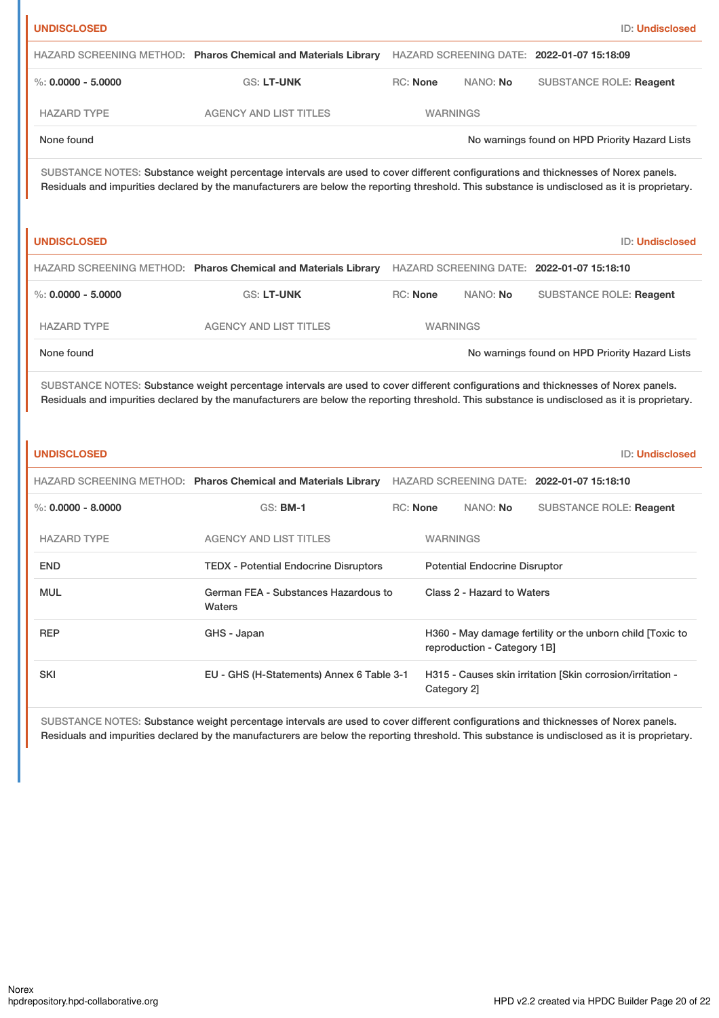| HAZARD SCREENING DATE: 2022-01-07 15:18:09                                                                                                                                                                                                                                          |  |  |  |
|-------------------------------------------------------------------------------------------------------------------------------------------------------------------------------------------------------------------------------------------------------------------------------------|--|--|--|
|                                                                                                                                                                                                                                                                                     |  |  |  |
| <b>SUBSTANCE ROLE: Reagent</b>                                                                                                                                                                                                                                                      |  |  |  |
|                                                                                                                                                                                                                                                                                     |  |  |  |
| No warnings found on HPD Priority Hazard Lists                                                                                                                                                                                                                                      |  |  |  |
| SUBSTANCE NOTES: Substance weight percentage intervals are used to cover different configurations and thicknesses of Norex panels.<br>Residuals and impurities declared by the manufacturers are below the reporting threshold. This substance is undisclosed as it is proprietary. |  |  |  |
| <b>ID: Undisclosed</b>                                                                                                                                                                                                                                                              |  |  |  |
| HAZARD SCREENING DATE: 2022-01-07 15:18:10                                                                                                                                                                                                                                          |  |  |  |
| <b>SUBSTANCE ROLE: Reagent</b>                                                                                                                                                                                                                                                      |  |  |  |
|                                                                                                                                                                                                                                                                                     |  |  |  |
| No warnings found on HPD Priority Hazard Lists                                                                                                                                                                                                                                      |  |  |  |
| SUBSTANCE NOTES: Substance weight percentage intervals are used to cover different configurations and thicknesses of Norex panels.<br>Residuals and impurities declared by the manufacturers are below the reporting threshold. This substance is undisclosed as it is proprietary. |  |  |  |
| <b>ID: Undisclosed</b>                                                                                                                                                                                                                                                              |  |  |  |
| HAZARD SCREENING DATE: 2022-01-07 15:18:10                                                                                                                                                                                                                                          |  |  |  |
| <b>SUBSTANCE ROLE: Reagent</b>                                                                                                                                                                                                                                                      |  |  |  |
|                                                                                                                                                                                                                                                                                     |  |  |  |
|                                                                                                                                                                                                                                                                                     |  |  |  |
|                                                                                                                                                                                                                                                                                     |  |  |  |
| H360 - May damage fertility or the unborn child [Toxic to                                                                                                                                                                                                                           |  |  |  |
| H315 - Causes skin irritation [Skin corrosion/irritation -                                                                                                                                                                                                                          |  |  |  |
|                                                                                                                                                                                                                                                                                     |  |  |  |

SUBSTANCE NOTES: Substance weight percentage intervals are used to cover different configurations and thicknesses of Norex panels. Residuals and impurities declared by the manufacturers are below the reporting threshold. This substance is undisclosed as it is proprietary.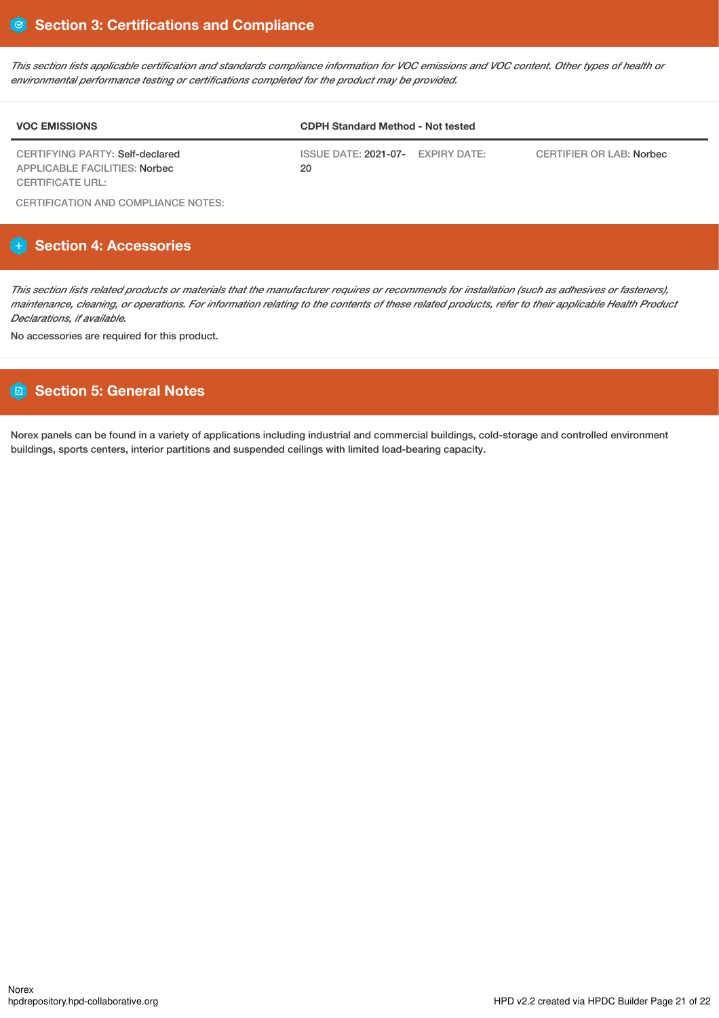This section lists applicable certification and standards compliance information for VOC emissions and VOC content. Other types of health or *environmental performance testing or certifications completed for the product may be provided.*

| <b>VOC EMISSIONS</b>                                             | <b>CDPH Standard Method - Not tested</b>                                        |                                 |  |
|------------------------------------------------------------------|---------------------------------------------------------------------------------|---------------------------------|--|
| CERTIFYING PARTY: Self-declared<br>APPLICABLE FACILITIES: Norbec | $\overline{\text{ISSUE}}$ DATE: 2021-07- $\overline{\text{EXPIRY}}$ DATE:<br>20 | <b>CERTIFIER OR LAB: Norbec</b> |  |
| CERTIFICATE URL:                                                 |                                                                                 |                                 |  |

CERTIFICATION AND COMPLIANCE NOTES:

# **Section 4: Accessories**

This section lists related products or materials that the manufacturer requires or recommends for installation (such as adhesives or fasteners), maintenance, cleaning, or operations. For information relating to the contents of these related products, refer to their applicable Health Product *Declarations, if available.*

No accessories are required for this product.

# **Section 5: General Notes**

Norex panels can be found in a variety of applications including industrial and commercial buildings, cold-storage and controlled environment buildings, sports centers, interior partitions and suspended ceilings with limited load-bearing capacity.